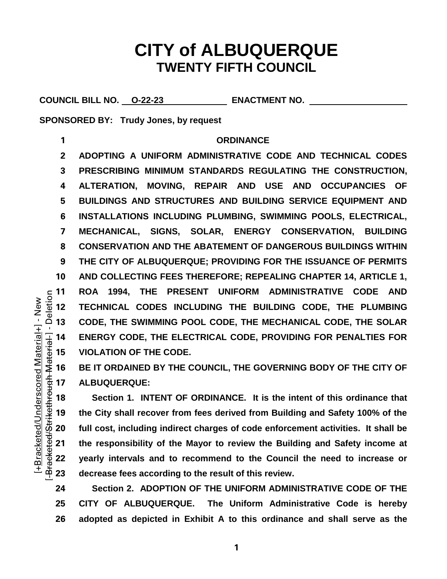## **CITY of ALBUQUERQUE TWENTY FIFTH COUNCIL**

**COUNCIL BILL NO. O-22-23 ENACTMENT NO.** 

**SPONSORED BY: Trudy Jones, by request**

#### **ORDINANCE**

 **ADOPTING A UNIFORM ADMINISTRATIVE CODE AND TECHNICAL CODES PRESCRIBING MINIMUM STANDARDS REGULATING THE CONSTRUCTION, ALTERATION, MOVING, REPAIR AND USE AND OCCUPANCIES OF BUILDINGS AND STRUCTURES AND BUILDING SERVICE EQUIPMENT AND INSTALLATIONS INCLUDING PLUMBING, SWIMMING POOLS, ELECTRICAL, MECHANICAL, SIGNS, SOLAR, ENERGY CONSERVATION, BUILDING CONSERVATION AND THE ABATEMENT OF DANGEROUS BUILDINGS WITHIN THE CITY OF ALBUQUERQUE; PROVIDING FOR THE ISSUANCE OF PERMITS AND COLLECTING FEES THEREFORE; REPEALING CHAPTER 14, ARTICLE 1,**  ROA 1994, THE PRESENT UNIFORM ADMINISTRATIVE CODE AND  $\frac{15}{40}$  12 TECHNICAL CODES INCLUDING THE BUILDING CODE, THE PLUMBING  $\frac{1}{13}$  CODE, THE SWIMMING POOL CODE, THE MECHANICAL CODE, THE SOLAR **TECHNICAL CODES INCLUDING THE BUILDING CODE, THE PLUMBING CODE, THE SWIMMING POOL CODE, THE MECHANICAL CODE, THE SOLAR**  14 ENERGY CODE, THE ELECTRICAL CODE, PROVIDING FOR PENALTIES FOR<br>
‡ 15 VIOLATION OF THE CODE.<br>
‡ 16 BE IT ORDAINED BY THE COUNCIL, THE GOVERNING BODY OF THE CITY OF **VIOLATION OF THE CODE.**

 **BE IT ORDAINED BY THE COUNCIL, THE GOVERNING BODY OF THE CITY OF ALBUQUERQUE:**

 **Section 1. INTENT OF ORDINANCE. It is the intent of this ordinance that the City shall recover from fees derived from Building and Safety 100% of the full cost, including indirect charges of code enforcement activities. It shall be the responsibility of the Mayor to review the Building and Safety income at yearly intervals and to recommend to the Council the need to increase or decrease fees according to the result of this review.**

 **Section 2. ADOPTION OF THE UNIFORM ADMINISTRATIVE CODE OF THE CITY OF ALBUQUERQUE. The Uniform Administrative Code is hereby adopted as depicted in Exhibit A to this ordinance and shall serve as the**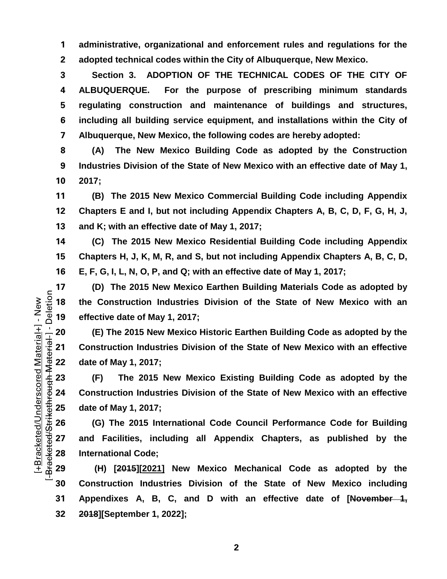**administrative, organizational and enforcement rules and regulations for the adopted technical codes within the City of Albuquerque, New Mexico.**

 **Section 3. ADOPTION OF THE TECHNICAL CODES OF THE CITY OF ALBUQUERQUE. For the purpose of prescribing minimum standards regulating construction and maintenance of buildings and structures, including all building service equipment, and installations within the City of Albuquerque, New Mexico, the following codes are hereby adopted:**

 **(A) The New Mexico Building Code as adopted by the Construction Industries Division of the State of New Mexico with an effective date of May 1, 2017;**

 **(B) The 2015 New Mexico Commercial Building Code including Appendix Chapters E and I, but not including Appendix Chapters A, B, C, D, F, G, H, J, and K; with an effective date of May 1, 2017;**

 **(C) The 2015 New Mexico Residential Building Code including Appendix Chapters H, J, K, M, R, and S, but not including Appendix Chapters A, B, C, D, E, F, G, I, L, N, O, P, and Q; with an effective date of May 1, 2017;**

**17 (D)** The 2015 New Mexico Earthen Building Materials Code as adopted by the Construction Industries Division of the State of New Mexico with an  $\frac{10}{\text{C}}$  19 effective date of May 1, 2017; **the Construction Industries Division of the State of New Mexico with an effective date of May 1, 2017;**

**20 (E)** The 2015 New Mexico Historic Earthen Building Code as adopted by the  $\frac{1}{3}$  21 Construction Industries Division of the State of New Mexico with an effective date of May 1, 2017;<br>22 date of May 1, 2017;<br>22 da **Construction Industries Division of the State of New Mexico with an effective date of May 1, 2017;**

 **(F) The 2015 New Mexico Existing Building Code as adopted by the Construction Industries Division of the State of New Mexico with an effective** 

 **date of May 1, 2017;**<br>  $\frac{4}{3}$  **26 (G)** The 2015 Int<br>  $\frac{4}{3}$  **27** and Facilities, incl<br>  $\frac{4}{3}$  **28** International Code; **(G) The 2015 International Code Council Performance Code for Building and Facilities, including all Appendix Chapters, as published by the International Code;**

 **(H) [2015][2021] New Mexico Mechanical Code as adopted by the Construction Industries Division of the State of New Mexico including Appendixes A, B, C, and D with an effective date of [November 1, 2018][September 1, 2022];**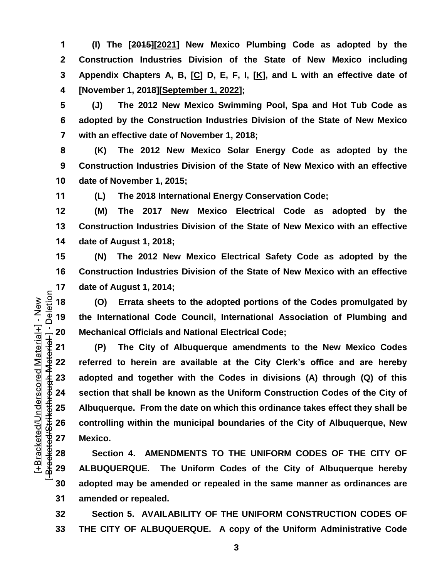**(I) The [2015][2021] New Mexico Plumbing Code as adopted by the Construction Industries Division of the State of New Mexico including Appendix Chapters A, B, [C] D, E, F, I, [K], and L with an effective date of [November 1, 2018][September 1, 2022];**

 **(J) The 2012 New Mexico Swimming Pool, Spa and Hot Tub Code as adopted by the Construction Industries Division of the State of New Mexico with an effective date of November 1, 2018;**

 **(K) The 2012 New Mexico Solar Energy Code as adopted by the Construction Industries Division of the State of New Mexico with an effective date of November 1, 2015;**

**(L) The 2018 International Energy Conservation Code;**

 **(M) The 2017 New Mexico Electrical Code as adopted by the Construction Industries Division of the State of New Mexico with an effective date of August 1, 2018;**

 **(N) The 2012 New Mexico Electrical Safety Code as adopted by the Construction Industries Division of the State of New Mexico with an effective** 

**17 date of August 1, 2014;<br>**  $\frac{5}{40}$  **<b>18 (O)** Errata sheets<br>  $\frac{1}{40}$  **19 the International Code (O) Errata sheets to the adopted portions of the Codes promulgated by the International Code Council, International Association of Plumbing and** 

 Mechanical Officials and National Electrical Code;<br> **21** (P) The City of Albuquerque amendments<br> **22** referred to herein are available at the City Cle **(P) The City of Albuquerque amendments to the New Mexico Codes referred to herein are available at the City Clerk's office and are hereby**  adopted and together with the Codes in divisions (A) through (Q) of this  $\frac{1}{2}$  24 section that shall be known as the Uniform Construction Codes of the City of **section that shall be known as the Uniform Construction Codes of the City of**  Albuquerque. From the date on which this ordinance takes effect they shall be<br>  $\frac{1}{2}$  26 controlling within the municipal boundaries of the City of Albuquerque, New<br>  $\frac{1}{2}$  27 Mexico.<br>
Section 4. AMENDMENTS TO T **controlling within the municipal boundaries of the City of Albuquerque, New Mexico.**

 **Section 4. AMENDMENTS TO THE UNIFORM CODES OF THE CITY OF ALBUQUERQUE. The Uniform Codes of the City of Albuquerque hereby adopted may be amended or repealed in the same manner as ordinances are amended or repealed.**

 **Section 5. AVAILABILITY OF THE UNIFORM CONSTRUCTION CODES OF THE CITY OF ALBUQUERQUE. A copy of the Uniform Administrative Code**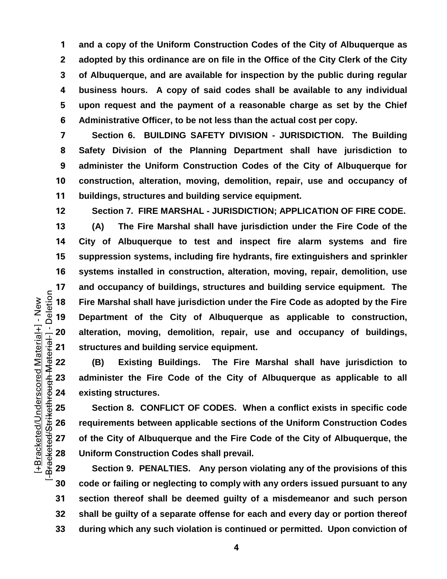**and a copy of the Uniform Construction Codes of the City of Albuquerque as adopted by this ordinance are on file in the Office of the City Clerk of the City of Albuquerque, and are available for inspection by the public during regular business hours. A copy of said codes shall be available to any individual upon request and the payment of a reasonable charge as set by the Chief Administrative Officer, to be not less than the actual cost per copy.**

 **Section 6. BUILDING SAFETY DIVISION - JURISDICTION. The Building Safety Division of the Planning Department shall have jurisdiction to administer the Uniform Construction Codes of the City of Albuquerque for construction, alteration, moving, demolition, repair, use and occupancy of buildings, structures and building service equipment.**

**Section 7. FIRE MARSHAL - JURISDICTION; APPLICATION OF FIRE CODE.**

 **(A) The Fire Marshal shall have jurisdiction under the Fire Code of the City of Albuquerque to test and inspect fire alarm systems and fire suppression systems, including fire hydrants, fire extinguishers and sprinkler systems installed in construction, alteration, moving, repair, demolition, use and occupancy of buildings, structures and building service equipment. The Fire Marshal shall have jurisdiction under the Fire Code as adopted by the Fire Department of the City of Albuquerque as applicable to construction, structures and building service equipment.**

 alteration, moving, demolition, repair, use and occupancy of buildings,<br>  $\frac{1}{3}$  21 structures and building service equipment.<br> **22** (B) Existing Buildings. The Fire Marshal shall have jurisdiction to<br>  $\frac{4}{3}$  23 **(B) Existing Buildings. The Fire Marshal shall have jurisdiction to administer the Fire Code of the City of Albuquerque as applicable to all existing structures.**

Section 8. CONFLICT OF CODES. When a conflict exists in specific code<br>
26 requirements between applicable sections of the Uniform Construction Codes<br>
27 of the City of Albuquerque and the Fire Code of the City of Albuquerq **requirements between applicable sections of the Uniform Construction Codes of the City of Albuquerque and the Fire Code of the City of Albuquerque, the Uniform Construction Codes shall prevail.**

 **Section 9. PENALTIES. Any person violating any of the provisions of this code or failing or neglecting to comply with any orders issued pursuant to any section thereof shall be deemed guilty of a misdemeanor and such person shall be guilty of a separate offense for each and every day or portion thereof during which any such violation is continued or permitted. Upon conviction of**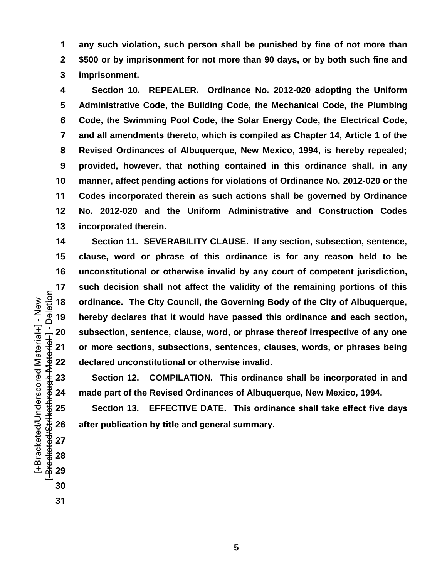**any such violation, such person shall be punished by fine of not more than \$500 or by imprisonment for not more than 90 days, or by both such fine and imprisonment.** 

 **Section 10. REPEALER. Ordinance No. 2012-020 adopting the Uniform Administrative Code, the Building Code, the Mechanical Code, the Plumbing Code, the Swimming Pool Code, the Solar Energy Code, the Electrical Code, and all amendments thereto, which is compiled as Chapter 14, Article 1 of the Revised Ordinances of Albuquerque, New Mexico, 1994, is hereby repealed; provided, however, that nothing contained in this ordinance shall, in any manner, affect pending actions for violations of Ordinance No. 2012-020 or the Codes incorporated therein as such actions shall be governed by Ordinance No. 2012-020 and the Uniform Administrative and Construction Codes incorporated therein.**

 **Section 11. SEVERABILITY CLAUSE. If any section, subsection, sentence, clause, word or phrase of this ordinance is for any reason held to be unconstitutional or otherwise invalid by any court of competent jurisdiction, such decision shall not affect the validity of the remaining portions of this ordinance. The City Council, the Governing Body of the City of Albuquerque, hereby declares that it would have passed this ordinance and each section, subsection, sentence, clause, word, or phrase thereof irrespective of any one or more sections, subsections, sentences, clauses, words, or phrases being declared unconstitutional or otherwise invalid.**

 **Section 12. COMPILATION. This ordinance shall be incorporated in and made part of the Revised Ordinances of Albuquerque, New Mexico, 1994.**

 **Section 13. EFFECTIVE DATE. This ordinance shall take effect five days after publication by title and general summary.**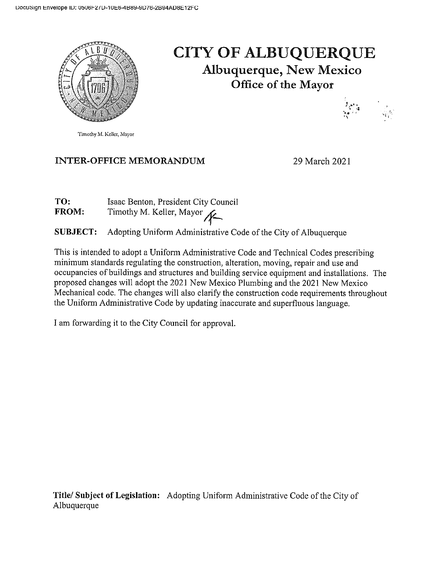

### **CITY OF ALBUQUERQUE** Albuquerque, New Mexico Office of the Mayor



Timothy M. Keller, Mayor

### **INTER-OFFICE MEMORANDUM**

29 March 2021

| TO:          | Isaac Benton, President City Council |
|--------------|--------------------------------------|
| <b>FROM:</b> | Timothy M. Keller, Mayor             |

**SUBJECT:** Adopting Uniform Administrative Code of the City of Albuquerque

This is intended to adopt a Uniform Administrative Code and Technical Codes prescribing minimum standards regulating the construction, alteration, moving, repair and use and occupancies of buildings and structures and building service equipment and installations. The proposed changes will adopt the 2021 New Mexico Plumbing and the 2021 New Mexico Mechanical code. The changes will also clarify the construction code requirements throughout the Uniform Administrative Code by updating inaccurate and superfluous language.

I am forwarding it to the City Council for approval.

Title/ Subject of Legislation: Adopting Uniform Administrative Code of the City of Albuquerque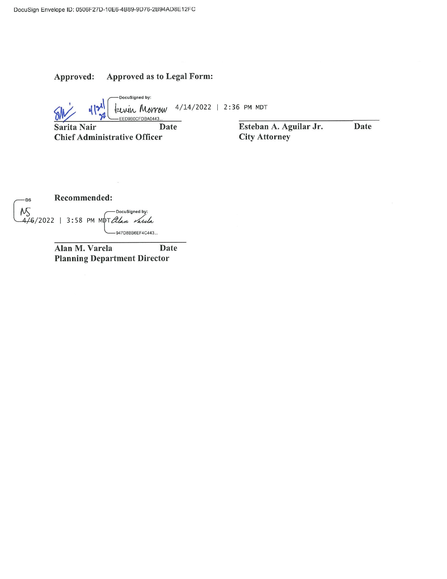#### Approved: Approved as to Legal Form:

DocuSigned by: 4/14/2022 | 2:36 PM MDT Morrow

Sarita Nair Date **Chief Administrative Officer** 

Esteban A. Aguilar Jr. **Date City Attorney** 

Recommended: -DS  $\mathcal{N}_{\mathcal{S}}$ NS — Docusigned by:<br>4/6/2022 | 3:58 PM MDT *Clan vaula* 947D8BB6EF4C443...

> Alan M. Varela Date **Planning Department Director**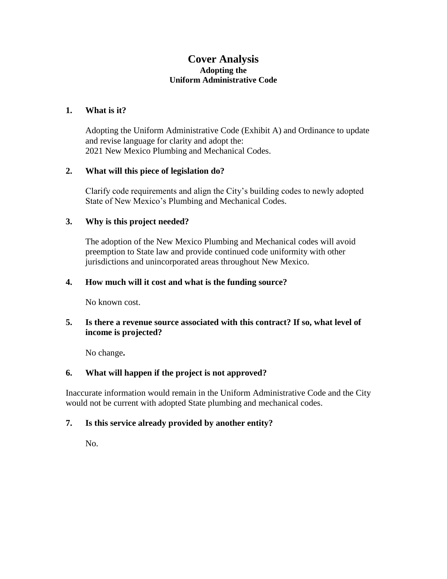### **Cover Analysis Adopting the Uniform Administrative Code**

#### **1. What is it?**

Adopting the Uniform Administrative Code (Exhibit A) and Ordinance to update and revise language for clarity and adopt the: 2021 New Mexico Plumbing and Mechanical Codes.

#### **2. What will this piece of legislation do?**

Clarify code requirements and align the City's building codes to newly adopted State of New Mexico's Plumbing and Mechanical Codes.

#### **3. Why is this project needed?**

The adoption of the New Mexico Plumbing and Mechanical codes will avoid preemption to State law and provide continued code uniformity with other jurisdictions and unincorporated areas throughout New Mexico.

#### **4. How much will it cost and what is the funding source?**

No known cost.

#### **5. Is there a revenue source associated with this contract? If so, what level of income is projected?**

No change**.**

#### **6. What will happen if the project is not approved?**

Inaccurate information would remain in the Uniform Administrative Code and the City would not be current with adopted State plumbing and mechanical codes.

#### **7. Is this service already provided by another entity?**

No.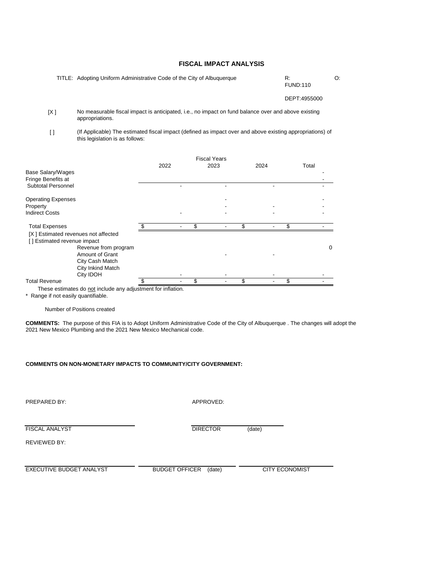#### **FISCAL IMPACT ANALYSIS**

| TITLE: Adopting Uniform Administrative Code of the City of Albuquerque | R٠<br><b>FUND:110</b> |  |
|------------------------------------------------------------------------|-----------------------|--|
|                                                                        | DEPT:4955000          |  |

 [X ] No measurable fiscal impact is anticipated, i.e., no impact on fund balance over and above existing appropriations.

 $[ \ ]$ (If Applicable) The estimated fiscal impact (defined as impact over and above existing appropriations) of this legislation is as follows:

|                                                              |      |    | <b>Fiscal Years</b> |      |       |   |
|--------------------------------------------------------------|------|----|---------------------|------|-------|---|
|                                                              | 2022 |    | 2023                | 2024 | Total |   |
| Base Salary/Wages<br>Fringe Benefits at                      |      |    |                     |      |       |   |
| <b>Subtotal Personnel</b>                                    |      |    |                     |      |       |   |
| <b>Operating Expenses</b><br>Property                        |      |    |                     |      |       |   |
| <b>Indirect Costs</b>                                        |      |    |                     |      |       |   |
| <b>Total Expenses</b>                                        |      | \$ |                     |      | \$    |   |
| [X] Estimated revenues not affected                          |      |    |                     |      |       |   |
| [] Estimated revenue impact                                  |      |    |                     |      |       |   |
| Revenue from program                                         |      |    |                     |      |       | 0 |
| Amount of Grant                                              |      |    |                     |      |       |   |
| City Cash Match                                              |      |    |                     |      |       |   |
| City Inkind Match                                            |      |    |                     |      |       |   |
| City IDOH                                                    |      |    |                     |      |       |   |
| <b>Total Revenue</b>                                         |      | \$ |                     |      | \$    |   |
| These estimates do not include any adjustment for inflation. |      |    |                     |      |       |   |

\* Range if not easily quantifiable.

Number of Positions created

**COMMENTS:** The purpose of this FIA is to Adopt Uniform Administrative Code of the City of Albuquerque . The changes will adopt the 2021 New Mexico Plumbing and the 2021 New Mexico Mechanical code.

**COMMENTS ON NON-MONETARY IMPACTS TO COMMUNITY/CITY GOVERNMENT:**

PREPARED BY: APPROVED:

DIRECTOR (date)

FISCAL ANALYST

REVIEWED BY:

EXECUTIVE BUDGET ANALYST BUDGET OFFICER (date) CITY ECONOMIST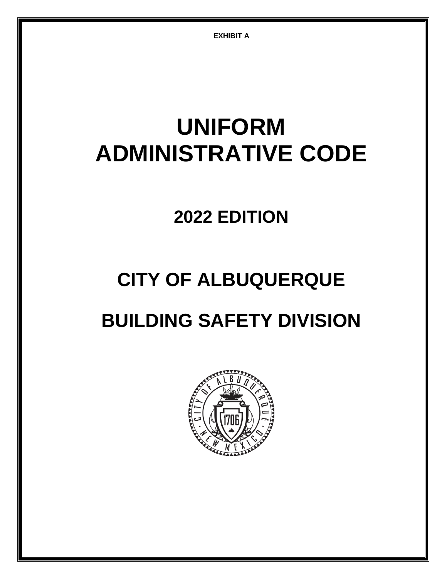**EXHIBIT A**

## **UNIFORM ADMINISTRATIVE CODE**

## **2022 EDITION**

# **CITY OF ALBUQUERQUE BUILDING SAFETY DIVISION**

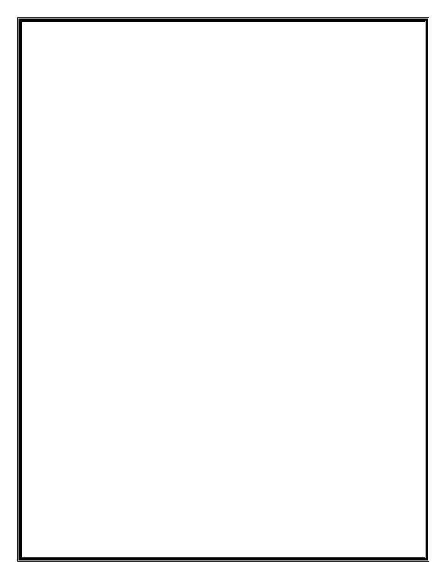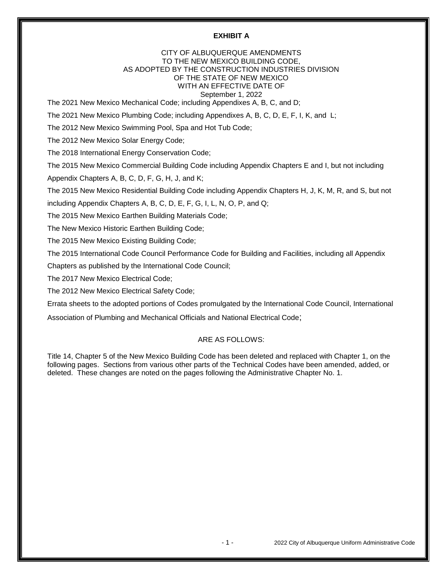#### **EXHIBIT A**

#### CITY OF ALBUQUERQUE AMENDMENTS TO THE NEW MEXICO BUILDING CODE, AS ADOPTED BY THE CONSTRUCTION INDUSTRIES DIVISION OF THE STATE OF NEW MEXICO WITH AN EFFECTIVE DATE OF September 1, 2022

The 2021 New Mexico Mechanical Code; including Appendixes A, B, C, and D;

The 2021 New Mexico Plumbing Code; including Appendixes A, B, C, D, E, F, I, K, and L;

The 2012 New Mexico Swimming Pool, Spa and Hot Tub Code;

The 2012 New Mexico Solar Energy Code;

The 2018 International Energy Conservation Code;

The 2015 New Mexico Commercial Building Code including Appendix Chapters E and I, but not including

Appendix Chapters A, B, C, D, F, G, H, J, and K;

The 2015 New Mexico Residential Building Code including Appendix Chapters H, J, K, M, R, and S, but not

including Appendix Chapters A, B, C, D, E, F, G, I, L, N, O, P, and Q;

The 2015 New Mexico Earthen Building Materials Code;

The New Mexico Historic Earthen Building Code;

The 2015 New Mexico Existing Building Code;

The 2015 International Code Council Performance Code for Building and Facilities, including all Appendix

Chapters as published by the International Code Council;

The 2017 New Mexico Electrical Code;

The 2012 New Mexico Electrical Safety Code;

Errata sheets to the adopted portions of Codes promulgated by the International Code Council, International

Association of Plumbing and Mechanical Officials and National Electrical Code;

#### ARE AS FOLLOWS:

Title 14, Chapter 5 of the New Mexico Building Code has been deleted and replaced with Chapter 1, on the following pages. Sections from various other parts of the Technical Codes have been amended, added, or deleted. These changes are noted on the pages following the Administrative Chapter No. 1.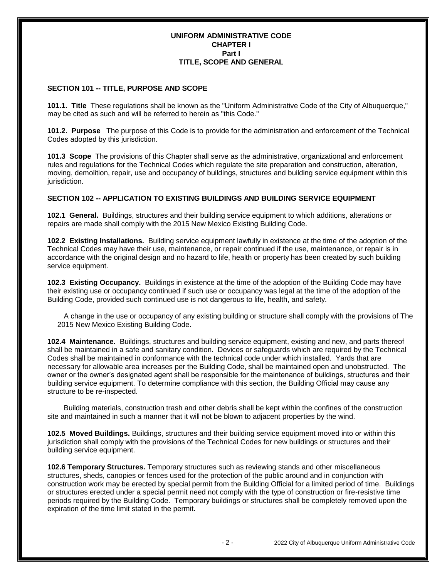#### **UNIFORM ADMINISTRATIVE CODE CHAPTER I Part I TITLE, SCOPE AND GENERAL**

#### **SECTION 101 -- TITLE, PURPOSE AND SCOPE**

**101.1. Title** These regulations shall be known as the "Uniform Administrative Code of the City of Albuquerque," may be cited as such and will be referred to herein as "this Code."

**101.2. Purpose** The purpose of this Code is to provide for the administration and enforcement of the Technical Codes adopted by this jurisdiction.

**101.3 Scope** The provisions of this Chapter shall serve as the administrative, organizational and enforcement rules and regulations for the Technical Codes which regulate the site preparation and construction, alteration, moving, demolition, repair, use and occupancy of buildings, structures and building service equipment within this jurisdiction.

#### **SECTION 102 -- APPLICATION TO EXISTING BUILDINGS AND BUILDING SERVICE EQUIPMENT**

**102.1 General.** Buildings, structures and their building service equipment to which additions, alterations or repairs are made shall comply with the 2015 New Mexico Existing Building Code.

**102.2 Existing Installations.** Building service equipment lawfully in existence at the time of the adoption of the Technical Codes may have their use, maintenance, or repair continued if the use, maintenance, or repair is in accordance with the original design and no hazard to life, health or property has been created by such building service equipment.

**102.3 Existing Occupancy.** Buildings in existence at the time of the adoption of the Building Code may have their existing use or occupancy continued if such use or occupancy was legal at the time of the adoption of the Building Code, provided such continued use is not dangerous to life, health, and safety.

A change in the use or occupancy of any existing building or structure shall comply with the provisions of The 2015 New Mexico Existing Building Code.

**102.4 Maintenance.** Buildings, structures and building service equipment, existing and new, and parts thereof shall be maintained in a safe and sanitary condition. Devices or safeguards which are required by the Technical Codes shall be maintained in conformance with the technical code under which installed. Yards that are necessary for allowable area increases per the Building Code, shall be maintained open and unobstructed. The owner or the owner's designated agent shall be responsible for the maintenance of buildings, structures and their building service equipment. To determine compliance with this section, the Building Official may cause any structure to be re-inspected.

Building materials, construction trash and other debris shall be kept within the confines of the construction site and maintained in such a manner that it will not be blown to adjacent properties by the wind.

**102.5 Moved Buildings.** Buildings, structures and their building service equipment moved into or within this jurisdiction shall comply with the provisions of the Technical Codes for new buildings or structures and their building service equipment.

**102.6 Temporary Structures.** Temporary structures such as reviewing stands and other miscellaneous structures, sheds, canopies or fences used for the protection of the public around and in conjunction with construction work may be erected by special permit from the Building Official for a limited period of time. Buildings or structures erected under a special permit need not comply with the type of construction or fire-resistive time periods required by the Building Code. Temporary buildings or structures shall be completely removed upon the expiration of the time limit stated in the permit.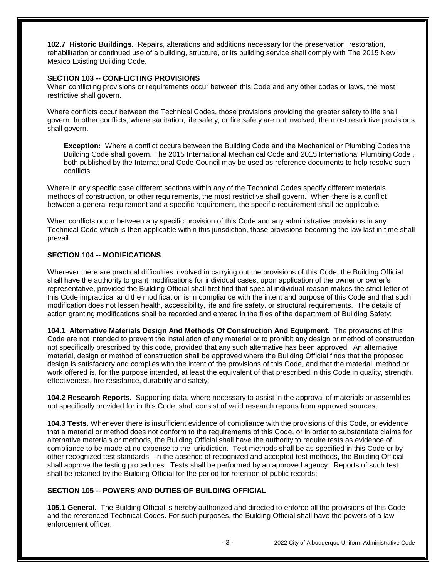**102.7 Historic Buildings.** Repairs, alterations and additions necessary for the preservation, restoration, rehabilitation or continued use of a building, structure, or its building service shall comply with The 2015 New Mexico Existing Building Code.

#### **SECTION 103 -- CONFLICTING PROVISIONS**

When conflicting provisions or requirements occur between this Code and any other codes or laws, the most restrictive shall govern.

Where conflicts occur between the Technical Codes, those provisions providing the greater safety to life shall govern. In other conflicts, where sanitation, life safety, or fire safety are not involved, the most restrictive provisions shall govern.

**Exception:** Where a conflict occurs between the Building Code and the Mechanical or Plumbing Codes the Building Code shall govern. The 2015 International Mechanical Code and 2015 International Plumbing Code , both published by the International Code Council may be used as reference documents to help resolve such conflicts.

Where in any specific case different sections within any of the Technical Codes specify different materials, methods of construction, or other requirements, the most restrictive shall govern. When there is a conflict between a general requirement and a specific requirement, the specific requirement shall be applicable.

When conflicts occur between any specific provision of this Code and any administrative provisions in any Technical Code which is then applicable within this jurisdiction, those provisions becoming the law last in time shall prevail.

#### **SECTION 104 -- MODIFICATIONS**

Wherever there are practical difficulties involved in carrying out the provisions of this Code, the Building Official shall have the authority to grant modifications for individual cases, upon application of the owner or owner's representative, provided the Building Official shall first find that special individual reason makes the strict letter of this Code impractical and the modification is in compliance with the intent and purpose of this Code and that such modification does not lessen health, accessibility, life and fire safety, or structural requirements. The details of action granting modifications shall be recorded and entered in the files of the department of Building Safety;

**104.1 Alternative Materials Design And Methods Of Construction And Equipment.** The provisions of this Code are not intended to prevent the installation of any material or to prohibit any design or method of construction not specifically prescribed by this code, provided that any such alternative has been approved. An alternative material, design or method of construction shall be approved where the Building Official finds that the proposed design is satisfactory and complies with the intent of the provisions of this Code, and that the material, method or work offered is, for the purpose intended, at least the equivalent of that prescribed in this Code in quality, strength, effectiveness, fire resistance, durability and safety;

**104.2 Research Reports.** Supporting data, where necessary to assist in the approval of materials or assemblies not specifically provided for in this Code, shall consist of valid research reports from approved sources;

**104.3 Tests.** Whenever there is insufficient evidence of compliance with the provisions of this Code, or evidence that a material or method does not conform to the requirements of this Code, or in order to substantiate claims for alternative materials or methods, the Building Official shall have the authority to require tests as evidence of compliance to be made at no expense to the jurisdiction. Test methods shall be as specified in this Code or by other recognized test standards. In the absence of recognized and accepted test methods, the Building Official shall approve the testing procedures. Tests shall be performed by an approved agency. Reports of such test shall be retained by the Building Official for the period for retention of public records;

#### **SECTION 105 -- POWERS AND DUTIES OF BUILDING OFFICIAL**

**105.1 General.** The Building Official is hereby authorized and directed to enforce all the provisions of this Code and the referenced Technical Codes. For such purposes, the Building Official shall have the powers of a law enforcement officer.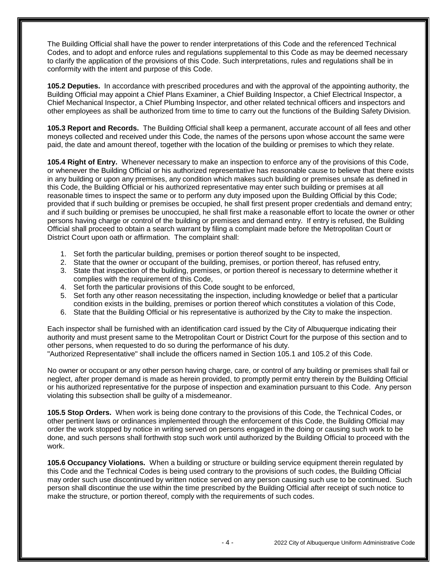The Building Official shall have the power to render interpretations of this Code and the referenced Technical Codes, and to adopt and enforce rules and regulations supplemental to this Code as may be deemed necessary to clarify the application of the provisions of this Code. Such interpretations, rules and regulations shall be in conformity with the intent and purpose of this Code.

**105.2 Deputies.** In accordance with prescribed procedures and with the approval of the appointing authority, the Building Official may appoint a Chief Plans Examiner, a Chief Building Inspector, a Chief Electrical Inspector, a Chief Mechanical Inspector, a Chief Plumbing Inspector, and other related technical officers and inspectors and other employees as shall be authorized from time to time to carry out the functions of the Building Safety Division.

**105.3 Report and Records.** The Building Official shall keep a permanent, accurate account of all fees and other moneys collected and received under this Code, the names of the persons upon whose account the same were paid, the date and amount thereof, together with the location of the building or premises to which they relate.

**105.4 Right of Entry.** Whenever necessary to make an inspection to enforce any of the provisions of this Code, or whenever the Building Official or his authorized representative has reasonable cause to believe that there exists in any building or upon any premises, any condition which makes such building or premises unsafe as defined in this Code, the Building Official or his authorized representative may enter such building or premises at all reasonable times to inspect the same or to perform any duty imposed upon the Building Official by this Code; provided that if such building or premises be occupied, he shall first present proper credentials and demand entry; and if such building or premises be unoccupied, he shall first make a reasonable effort to locate the owner or other persons having charge or control of the building or premises and demand entry. If entry is refused, the Building Official shall proceed to obtain a search warrant by filing a complaint made before the Metropolitan Court or District Court upon oath or affirmation. The complaint shall:

- 1. Set forth the particular building, premises or portion thereof sought to be inspected,
- 2. State that the owner or occupant of the building, premises, or portion thereof, has refused entry,
- 3. State that inspection of the building, premises, or portion thereof is necessary to determine whether it complies with the requirement of this Code,
- 4. Set forth the particular provisions of this Code sought to be enforced,
- 5. Set forth any other reason necessitating the inspection, including knowledge or belief that a particular condition exists in the building, premises or portion thereof which constitutes a violation of this Code,
- 6. State that the Building Official or his representative is authorized by the City to make the inspection.

Each inspector shall be furnished with an identification card issued by the City of Albuquerque indicating their authority and must present same to the Metropolitan Court or District Court for the purpose of this section and to other persons, when requested to do so during the performance of his duty.

"Authorized Representative" shall include the officers named in Section 105.1 and 105.2 of this Code.

No owner or occupant or any other person having charge, care, or control of any building or premises shall fail or neglect, after proper demand is made as herein provided, to promptly permit entry therein by the Building Official or his authorized representative for the purpose of inspection and examination pursuant to this Code. Any person violating this subsection shall be guilty of a misdemeanor.

**105.5 Stop Orders.** When work is being done contrary to the provisions of this Code, the Technical Codes, or other pertinent laws or ordinances implemented through the enforcement of this Code, the Building Official may order the work stopped by notice in writing served on persons engaged in the doing or causing such work to be done, and such persons shall forthwith stop such work until authorized by the Building Official to proceed with the work.

**105.6 Occupancy Violations.** When a building or structure or building service equipment therein regulated by this Code and the Technical Codes is being used contrary to the provisions of such codes, the Building Official may order such use discontinued by written notice served on any person causing such use to be continued. Such person shall discontinue the use within the time prescribed by the Building Official after receipt of such notice to make the structure, or portion thereof, comply with the requirements of such codes.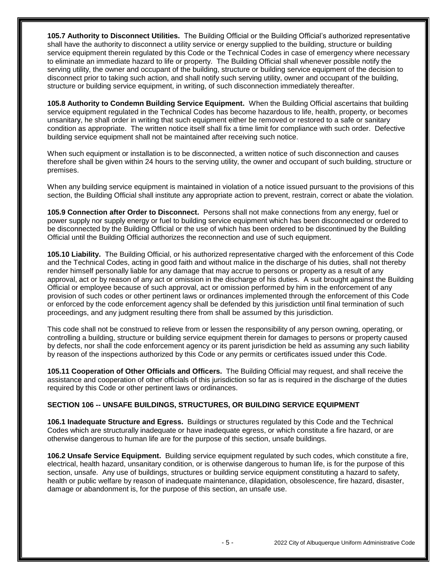**105.7 Authority to Disconnect Utilities.** The Building Official or the Building Official's authorized representative shall have the authority to disconnect a utility service or energy supplied to the building, structure or building service equipment therein regulated by this Code or the Technical Codes in case of emergency where necessary to eliminate an immediate hazard to life or property. The Building Official shall whenever possible notify the serving utility, the owner and occupant of the building, structure or building service equipment of the decision to disconnect prior to taking such action, and shall notify such serving utility, owner and occupant of the building, structure or building service equipment, in writing, of such disconnection immediately thereafter.

**105.8 Authority to Condemn Building Service Equipment.** When the Building Official ascertains that building service equipment regulated in the Technical Codes has become hazardous to life, health, property, or becomes unsanitary, he shall order in writing that such equipment either be removed or restored to a safe or sanitary condition as appropriate. The written notice itself shall fix a time limit for compliance with such order. Defective building service equipment shall not be maintained after receiving such notice.

When such equipment or installation is to be disconnected, a written notice of such disconnection and causes therefore shall be given within 24 hours to the serving utility, the owner and occupant of such building, structure or premises.

When any building service equipment is maintained in violation of a notice issued pursuant to the provisions of this section, the Building Official shall institute any appropriate action to prevent, restrain, correct or abate the violation.

**105.9 Connection after Order to Disconnect.** Persons shall not make connections from any energy, fuel or power supply nor supply energy or fuel to building service equipment which has been disconnected or ordered to be disconnected by the Building Official or the use of which has been ordered to be discontinued by the Building Official until the Building Official authorizes the reconnection and use of such equipment.

**105.10 Liability.** The Building Official, or his authorized representative charged with the enforcement of this Code and the Technical Codes, acting in good faith and without malice in the discharge of his duties, shall not thereby render himself personally liable for any damage that may accrue to persons or property as a result of any approval, act or by reason of any act or omission in the discharge of his duties. A suit brought against the Building Official or employee because of such approval, act or omission performed by him in the enforcement of any provision of such codes or other pertinent laws or ordinances implemented through the enforcement of this Code or enforced by the code enforcement agency shall be defended by this jurisdiction until final termination of such proceedings, and any judgment resulting there from shall be assumed by this jurisdiction.

This code shall not be construed to relieve from or lessen the responsibility of any person owning, operating, or controlling a building, structure or building service equipment therein for damages to persons or property caused by defects, nor shall the code enforcement agency or its parent jurisdiction be held as assuming any such liability by reason of the inspections authorized by this Code or any permits or certificates issued under this Code.

**105.11 Cooperation of Other Officials and Officers.** The Building Official may request, and shall receive the assistance and cooperation of other officials of this jurisdiction so far as is required in the discharge of the duties required by this Code or other pertinent laws or ordinances.

#### **SECTION 106 -- UNSAFE BUILDINGS, STRUCTURES, OR BUILDING SERVICE EQUIPMENT**

**106.1 Inadequate Structure and Egress.** Buildings or structures regulated by this Code and the Technical Codes which are structurally inadequate or have inadequate egress, or which constitute a fire hazard, or are otherwise dangerous to human life are for the purpose of this section, unsafe buildings.

**106.2 Unsafe Service Equipment.** Building service equipment regulated by such codes, which constitute a fire, electrical, health hazard, unsanitary condition, or is otherwise dangerous to human life, is for the purpose of this section, unsafe. Any use of buildings, structures or building service equipment constituting a hazard to safety, health or public welfare by reason of inadequate maintenance, dilapidation, obsolescence, fire hazard, disaster, damage or abandonment is, for the purpose of this section, an unsafe use.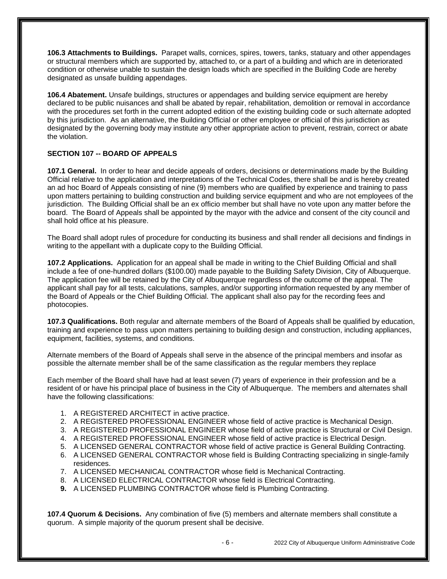**106.3 Attachments to Buildings.** Parapet walls, cornices, spires, towers, tanks, statuary and other appendages or structural members which are supported by, attached to, or a part of a building and which are in deteriorated condition or otherwise unable to sustain the design loads which are specified in the Building Code are hereby designated as unsafe building appendages.

**106.4 Abatement.** Unsafe buildings, structures or appendages and building service equipment are hereby declared to be public nuisances and shall be abated by repair, rehabilitation, demolition or removal in accordance with the procedures set forth in the current adopted edition of the existing building code or such alternate adopted by this jurisdiction. As an alternative, the Building Official or other employee or official of this jurisdiction as designated by the governing body may institute any other appropriate action to prevent, restrain, correct or abate the violation.

#### **SECTION 107 -- BOARD OF APPEALS**

**107.1 General.** In order to hear and decide appeals of orders, decisions or determinations made by the Building Official relative to the application and interpretations of the Technical Codes, there shall be and is hereby created an ad hoc Board of Appeals consisting of nine (9) members who are qualified by experience and training to pass upon matters pertaining to building construction and building service equipment and who are not employees of the jurisdiction. The Building Official shall be an ex officio member but shall have no vote upon any matter before the board. The Board of Appeals shall be appointed by the mayor with the advice and consent of the city council and shall hold office at his pleasure.

The Board shall adopt rules of procedure for conducting its business and shall render all decisions and findings in writing to the appellant with a duplicate copy to the Building Official.

**107.2 Applications.** Application for an appeal shall be made in writing to the Chief Building Official and shall include a fee of one-hundred dollars (\$100.00) made payable to the Building Safety Division, City of Albuquerque. The application fee will be retained by the City of Albuquerque regardless of the outcome of the appeal. The applicant shall pay for all tests, calculations, samples, and/or supporting information requested by any member of the Board of Appeals or the Chief Building Official. The applicant shall also pay for the recording fees and photocopies.

**107.3 Qualifications.** Both regular and alternate members of the Board of Appeals shall be qualified by education, training and experience to pass upon matters pertaining to building design and construction, including appliances, equipment, facilities, systems, and conditions.

Alternate members of the Board of Appeals shall serve in the absence of the principal members and insofar as possible the alternate member shall be of the same classification as the regular members they replace

Each member of the Board shall have had at least seven (7) years of experience in their profession and be a resident of or have his principal place of business in the City of Albuquerque. The members and alternates shall have the following classifications:

- 1. A REGISTERED ARCHITECT in active practice.
- 2. A REGISTERED PROFESSIONAL ENGINEER whose field of active practice is Mechanical Design.
- 3. A REGISTERED PROFESSIONAL ENGINEER whose field of active practice is Structural or Civil Design.
- 4. A REGISTERED PROFESSIONAL ENGINEER whose field of active practice is Electrical Design.
- 5. A LICENSED GENERAL CONTRACTOR whose field of active practice is General Building Contracting.
- 6. A LICENSED GENERAL CONTRACTOR whose field is Building Contracting specializing in single-family residences.
- 7. A LICENSED MECHANICAL CONTRACTOR whose field is Mechanical Contracting.
- 8. A LICENSED ELECTRICAL CONTRACTOR whose field is Electrical Contracting.
- **9.** A LICENSED PLUMBING CONTRACTOR whose field is Plumbing Contracting.

**107.4 Quorum & Decisions.** Any combination of five (5) members and alternate members shall constitute a quorum. A simple majority of the quorum present shall be decisive.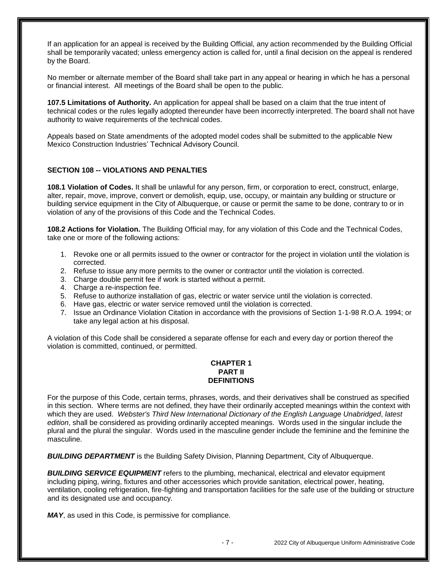If an application for an appeal is received by the Building Official, any action recommended by the Building Official shall be temporarily vacated; unless emergency action is called for, until a final decision on the appeal is rendered by the Board.

No member or alternate member of the Board shall take part in any appeal or hearing in which he has a personal or financial interest. All meetings of the Board shall be open to the public.

**107.5 Limitations of Authority.** An application for appeal shall be based on a claim that the true intent of technical codes or the rules legally adopted thereunder have been incorrectly interpreted. The board shall not have authority to waive requirements of the technical codes.

Appeals based on State amendments of the adopted model codes shall be submitted to the applicable New Mexico Construction Industries' Technical Advisory Council.

#### **SECTION 108 -- VIOLATIONS AND PENALTIES**

**108.1 Violation of Codes.** It shall be unlawful for any person, firm, or corporation to erect, construct, enlarge, alter, repair, move, improve, convert or demolish, equip, use, occupy, or maintain any building or structure or building service equipment in the City of Albuquerque, or cause or permit the same to be done, contrary to or in violation of any of the provisions of this Code and the Technical Codes.

**108.2 Actions for Violation.** The Building Official may, for any violation of this Code and the Technical Codes, take one or more of the following actions:

- 1. Revoke one or all permits issued to the owner or contractor for the project in violation until the violation is corrected.
- 2. Refuse to issue any more permits to the owner or contractor until the violation is corrected.
- 3. Charge double permit fee if work is started without a permit.
- 4. Charge a re-inspection fee.
- 5. Refuse to authorize installation of gas, electric or water service until the violation is corrected.
- 6. Have gas, electric or water service removed until the violation is corrected.
- 7. Issue an Ordinance Violation Citation in accordance with the provisions of Section 1-1-98 R.O.A. 1994; or take any legal action at his disposal.

A violation of this Code shall be considered a separate offense for each and every day or portion thereof the violation is committed, continued, or permitted.

#### **CHAPTER 1 PART II DEFINITIONS**

For the purpose of this Code, certain terms, phrases, words, and their derivatives shall be construed as specified in this section. Where terms are not defined, they have their ordinarily accepted meanings within the context with which they are used. *Webster's Third New International Dictionary of the English Language Unabridged*, *latest edition*, shall be considered as providing ordinarily accepted meanings. Words used in the singular include the plural and the plural the singular. Words used in the masculine gender include the feminine and the feminine the masculine.

**BUILDING DEPARTMENT** is the Building Safety Division, Planning Department, City of Albuquerque.

**BUILDING SERVICE EQUIPMENT** refers to the plumbing, mechanical, electrical and elevator equipment including piping, wiring, fixtures and other accessories which provide sanitation, electrical power, heating, ventilation, cooling refrigeration, fire-fighting and transportation facilities for the safe use of the building or structure and its designated use and occupancy.

*MAY*, as used in this Code, is permissive for compliance.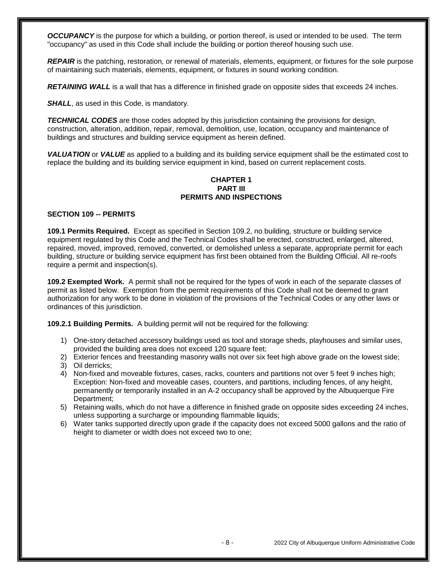*OCCUPANCY* is the purpose for which a building, or portion thereof, is used or intended to be used. The term "occupancy" as used in this Code shall include the building or portion thereof housing such use.

*REPAIR* is the patching, restoration, or renewal of materials, elements, equipment, or fixtures for the sole purpose of maintaining such materials, elements, equipment, or fixtures in sound working condition.

**RETAINING WALL** is a wall that has a difference in finished grade on opposite sides that exceeds 24 inches.

*SHALL*, as used in this Code, is mandatory.

**TECHNICAL CODES** are those codes adopted by this jurisdiction containing the provisions for design, construction, alteration, addition, repair, removal, demolition, use, location, occupancy and maintenance of buildings and structures and building service equipment as herein defined.

*VALUATION* or *VALUE* as applied to a building and its building service equipment shall be the estimated cost to replace the building and its building service equipment in kind, based on current replacement costs.

#### **CHAPTER 1 PART III PERMITS AND INSPECTIONS**

#### **SECTION 109 -- PERMITS**

**109.1 Permits Required.** Except as specified in Section 109.2, no building, structure or building service equipment regulated by this Code and the Technical Codes shall be erected, constructed, enlarged, altered, repaired, moved, improved, removed, converted, or demolished unless a separate, appropriate permit for each building, structure or building service equipment has first been obtained from the Building Official. All re-roofs require a permit and inspection(s).

**109.2 Exempted Work.** A permit shall not be required for the types of work in each of the separate classes of permit as listed below. Exemption from the permit requirements of this Code shall not be deemed to grant authorization for any work to be done in violation of the provisions of the Technical Codes or any other laws or ordinances of this jurisdiction.

**109.2.1 Building Permits.** A building permit will not be required for the following:

- 1) One-story detached accessory buildings used as tool and storage sheds, playhouses and similar uses, provided the building area does not exceed 120 square feet;
- 2) Exterior fences and freestanding masonry walls not over six feet high above grade on the lowest side; 3) Oil derricks;
- 4) Non-fixed and moveable fixtures, cases, racks, counters and partitions not over 5 feet 9 inches high; Exception: Non-fixed and moveable cases, counters, and partitions, including fences, of any height, permanently or temporarily installed in an A-2 occupancy shall be approved by the Albuquerque Fire Department;
- 5) Retaining walls, which do not have a difference in finished grade on opposite sides exceeding 24 inches, unless supporting a surcharge or impounding flammable liquids;
- 6) Water tanks supported directly upon grade if the capacity does not exceed 5000 gallons and the ratio of height to diameter or width does not exceed two to one;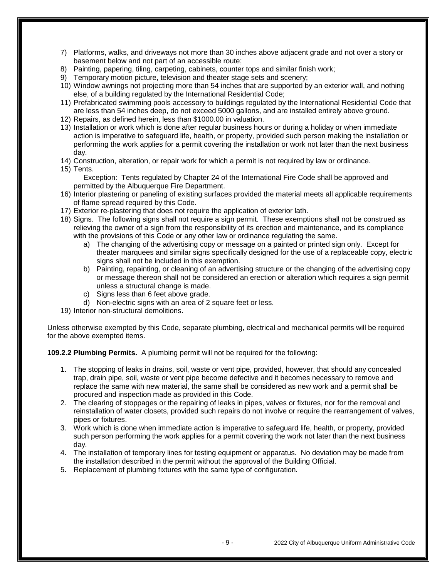- 7) Platforms, walks, and driveways not more than 30 inches above adjacent grade and not over a story or basement below and not part of an accessible route;
- 8) Painting, papering, tiling, carpeting, cabinets, counter tops and similar finish work;
- 9) Temporary motion picture, television and theater stage sets and scenery;
- 10) Window awnings not projecting more than 54 inches that are supported by an exterior wall, and nothing else, of a building regulated by the International Residential Code;
- 11) Prefabricated swimming pools accessory to buildings regulated by the International Residential Code that are less than 54 inches deep, do not exceed 5000 gallons, and are installed entirely above ground.
- 12) Repairs, as defined herein, less than \$1000.00 in valuation.
- 13) Installation or work which is done after regular business hours or during a holiday or when immediate action is imperative to safeguard life, health, or property, provided such person making the installation or performing the work applies for a permit covering the installation or work not later than the next business day.
- 14) Construction, alteration, or repair work for which a permit is not required by law or ordinance.
- 15) Tents. Exception: Tents regulated by Chapter 24 of the International Fire Code shall be approved and permitted by the Albuquerque Fire Department.
- 16) Interior plastering or paneling of existing surfaces provided the material meets all applicable requirements of flame spread required by this Code.
- 17) Exterior re-plastering that does not require the application of exterior lath.
- 18) Signs. The following signs shall not require a sign permit. These exemptions shall not be construed as relieving the owner of a sign from the responsibility of its erection and maintenance, and its compliance with the provisions of this Code or any other law or ordinance regulating the same.
	- a) The changing of the advertising copy or message on a painted or printed sign only. Except for theater marquees and similar signs specifically designed for the use of a replaceable copy, electric signs shall not be included in this exemption.
	- b) Painting, repainting, or cleaning of an advertising structure or the changing of the advertising copy or message thereon shall not be considered an erection or alteration which requires a sign permit unless a structural change is made.
	- c) Signs less than 6 feet above grade.
	- d) Non-electric signs with an area of 2 square feet or less.
- 19) Interior non-structural demolitions.

Unless otherwise exempted by this Code, separate plumbing, electrical and mechanical permits will be required for the above exempted items.

**109.2.2 Plumbing Permits.** A plumbing permit will not be required for the following:

- 1. The stopping of leaks in drains, soil, waste or vent pipe, provided, however, that should any concealed trap, drain pipe, soil, waste or vent pipe become defective and it becomes necessary to remove and replace the same with new material, the same shall be considered as new work and a permit shall be procured and inspection made as provided in this Code.
- 2. The clearing of stoppages or the repairing of leaks in pipes, valves or fixtures, nor for the removal and reinstallation of water closets, provided such repairs do not involve or require the rearrangement of valves, pipes or fixtures.
- 3. Work which is done when immediate action is imperative to safeguard life, health, or property, provided such person performing the work applies for a permit covering the work not later than the next business day.
- 4. The installation of temporary lines for testing equipment or apparatus. No deviation may be made from the installation described in the permit without the approval of the Building Official.
- 5. Replacement of plumbing fixtures with the same type of configuration.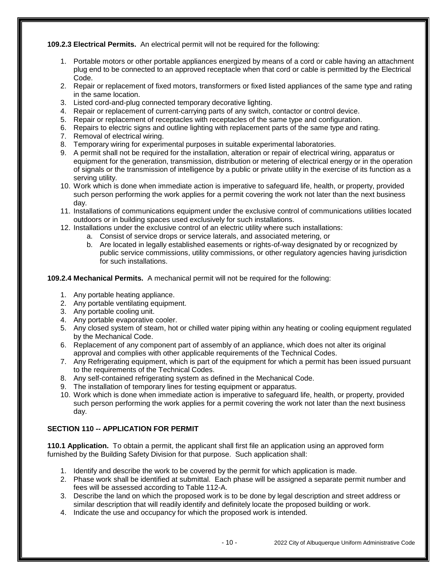**109.2.3 Electrical Permits.** An electrical permit will not be required for the following:

- 1. Portable motors or other portable appliances energized by means of a cord or cable having an attachment plug end to be connected to an approved receptacle when that cord or cable is permitted by the Electrical Code.
- 2. Repair or replacement of fixed motors, transformers or fixed listed appliances of the same type and rating in the same location.
- 3. Listed cord-and-plug connected temporary decorative lighting.
- 4. Repair or replacement of current-carrying parts of any switch, contactor or control device.
- 5. Repair or replacement of receptacles with receptacles of the same type and configuration.
- 6. Repairs to electric signs and outline lighting with replacement parts of the same type and rating.
- 7. Removal of electrical wiring.
- 8. Temporary wiring for experimental purposes in suitable experimental laboratories.
- 9. A permit shall not be required for the installation, alteration or repair of electrical wiring, apparatus or equipment for the generation, transmission, distribution or metering of electrical energy or in the operation of signals or the transmission of intelligence by a public or private utility in the exercise of its function as a serving utility.
- 10. Work which is done when immediate action is imperative to safeguard life, health, or property, provided such person performing the work applies for a permit covering the work not later than the next business day.
- 11. Installations of communications equipment under the exclusive control of communications utilities located outdoors or in building spaces used exclusively for such installations.
- 12. Installations under the exclusive control of an electric utility where such installations:
	- a. Consist of service drops or service laterals, and associated metering, or
		- b. Are located in legally established easements or rights-of-way designated by or recognized by public service commissions, utility commissions, or other regulatory agencies having jurisdiction for such installations.

**109.2.4 Mechanical Permits.** A mechanical permit will not be required for the following:

- 1. Any portable heating appliance.
- 2. Any portable ventilating equipment.
- 3. Any portable cooling unit.
- 4. Any portable evaporative cooler.
- 5. Any closed system of steam, hot or chilled water piping within any heating or cooling equipment regulated by the Mechanical Code.
- 6. Replacement of any component part of assembly of an appliance, which does not alter its original approval and complies with other applicable requirements of the Technical Codes.
- 7. Any Refrigerating equipment, which is part of the equipment for which a permit has been issued pursuant to the requirements of the Technical Codes.
- 8. Any self-contained refrigerating system as defined in the Mechanical Code.
- 9. The installation of temporary lines for testing equipment or apparatus.
- 10. Work which is done when immediate action is imperative to safeguard life, health, or property, provided such person performing the work applies for a permit covering the work not later than the next business day.

#### **SECTION 110 -- APPLICATION FOR PERMIT**

**110.1 Application.** To obtain a permit, the applicant shall first file an application using an approved form furnished by the Building Safety Division for that purpose. Such application shall:

- 1. Identify and describe the work to be covered by the permit for which application is made.
- 2. Phase work shall be identified at submittal. Each phase will be assigned a separate permit number and fees will be assessed according to Table 112-A.
- 3. Describe the land on which the proposed work is to be done by legal description and street address or similar description that will readily identify and definitely locate the proposed building or work.
- 4. Indicate the use and occupancy for which the proposed work is intended.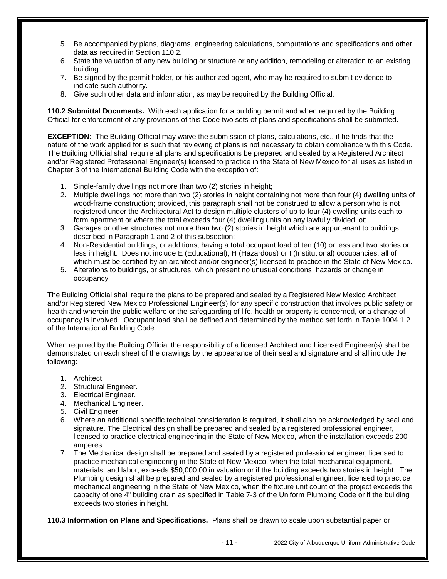- 5. Be accompanied by plans, diagrams, engineering calculations, computations and specifications and other data as required in Section 110.2.
- 6. State the valuation of any new building or structure or any addition, remodeling or alteration to an existing building.
- 7. Be signed by the permit holder, or his authorized agent, who may be required to submit evidence to indicate such authority.
- 8. Give such other data and information, as may be required by the Building Official.

**110.2 Submittal Documents.** With each application for a building permit and when required by the Building Official for enforcement of any provisions of this Code two sets of plans and specifications shall be submitted.

**EXCEPTION**: The Building Official may waive the submission of plans, calculations, etc., if he finds that the nature of the work applied for is such that reviewing of plans is not necessary to obtain compliance with this Code. The Building Official shall require all plans and specifications be prepared and sealed by a Registered Architect and/or Registered Professional Engineer(s) licensed to practice in the State of New Mexico for all uses as listed in Chapter 3 of the International Building Code with the exception of:

- 1. Single-family dwellings not more than two (2) stories in height;
- 2. Multiple dwellings not more than two (2) stories in height containing not more than four (4) dwelling units of wood-frame construction; provided, this paragraph shall not be construed to allow a person who is not registered under the Architectural Act to design multiple clusters of up to four (4) dwelling units each to form apartment or where the total exceeds four (4) dwelling units on any lawfully divided lot;
- 3. Garages or other structures not more than two (2) stories in height which are appurtenant to buildings described in Paragraph 1 and 2 of this subsection;
- 4. Non-Residential buildings, or additions, having a total occupant load of ten (10) or less and two stories or less in height. Does not include E (Educational), H (Hazardous) or I (Institutional) occupancies, all of which must be certified by an architect and/or engineer(s) licensed to practice in the State of New Mexico.
- 5. Alterations to buildings, or structures, which present no unusual conditions, hazards or change in occupancy.

The Building Official shall require the plans to be prepared and sealed by a Registered New Mexico Architect and/or Registered New Mexico Professional Engineer(s) for any specific construction that involves public safety or health and wherein the public welfare or the safeguarding of life, health or property is concerned, or a change of occupancy is involved. Occupant load shall be defined and determined by the method set forth in Table 1004.1.2 of the International Building Code.

When required by the Building Official the responsibility of a licensed Architect and Licensed Engineer(s) shall be demonstrated on each sheet of the drawings by the appearance of their seal and signature and shall include the following:

- 1. Architect.
- 2. Structural Engineer.
- 3. Electrical Engineer.
- 4. Mechanical Engineer.
- 5. Civil Engineer.
- 6. Where an additional specific technical consideration is required, it shall also be acknowledged by seal and signature. The Electrical design shall be prepared and sealed by a registered professional engineer, licensed to practice electrical engineering in the State of New Mexico, when the installation exceeds 200 amperes.
- 7. The Mechanical design shall be prepared and sealed by a registered professional engineer, licensed to practice mechanical engineering in the State of New Mexico, when the total mechanical equipment, materials, and labor, exceeds \$50,000.00 in valuation or if the building exceeds two stories in height. The Plumbing design shall be prepared and sealed by a registered professional engineer, licensed to practice mechanical engineering in the State of New Mexico, when the fixture unit count of the project exceeds the capacity of one 4" building drain as specified in Table 7-3 of the Uniform Plumbing Code or if the building exceeds two stories in height.

**110.3 Information on Plans and Specifications.** Plans shall be drawn to scale upon substantial paper or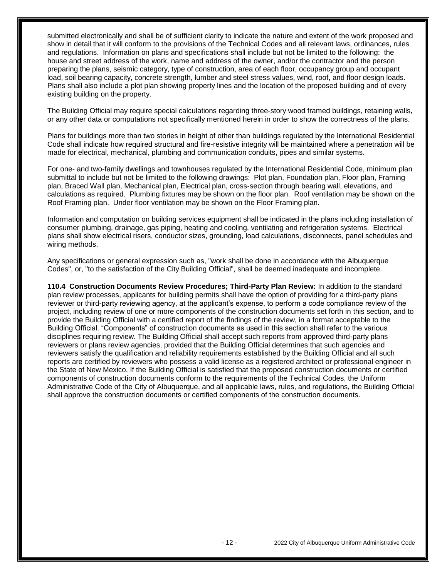submitted electronically and shall be of sufficient clarity to indicate the nature and extent of the work proposed and show in detail that it will conform to the provisions of the Technical Codes and all relevant laws, ordinances, rules and regulations. Information on plans and specifications shall include but not be limited to the following: the house and street address of the work, name and address of the owner, and/or the contractor and the person preparing the plans, seismic category, type of construction, area of each floor, occupancy group and occupant load, soil bearing capacity, concrete strength, lumber and steel stress values, wind, roof, and floor design loads. Plans shall also include a plot plan showing property lines and the location of the proposed building and of every existing building on the property.

The Building Official may require special calculations regarding three-story wood framed buildings, retaining walls, or any other data or computations not specifically mentioned herein in order to show the correctness of the plans.

Plans for buildings more than two stories in height of other than buildings regulated by the International Residential Code shall indicate how required structural and fire-resistive integrity will be maintained where a penetration will be made for electrical, mechanical, plumbing and communication conduits, pipes and similar systems.

For one- and two-family dwellings and townhouses regulated by the International Residential Code, minimum plan submittal to include but not be limited to the following drawings: Plot plan, Foundation plan, Floor plan, Framing plan, Braced Wall plan, Mechanical plan, Electrical plan, cross-section through bearing wall, elevations, and calculations as required. Plumbing fixtures may be shown on the floor plan. Roof ventilation may be shown on the Roof Framing plan. Under floor ventilation may be shown on the Floor Framing plan.

Information and computation on building services equipment shall be indicated in the plans including installation of consumer plumbing, drainage, gas piping, heating and cooling, ventilating and refrigeration systems. Electrical plans shall show electrical risers, conductor sizes, grounding, load calculations, disconnects, panel schedules and wiring methods.

Any specifications or general expression such as, "work shall be done in accordance with the Albuquerque Codes", or, "to the satisfaction of the City Building Official", shall be deemed inadequate and incomplete.

**110.4 Construction Documents Review Procedures; Third-Party Plan Review:** In addition to the standard plan review processes, applicants for building permits shall have the option of providing for a third-party plans reviewer or third-party reviewing agency, at the applicant's expense, to perform a code compliance review of the project, including review of one or more components of the construction documents set forth in this section, and to provide the Building Official with a certified report of the findings of the review, in a format acceptable to the Building Official. "Components" of construction documents as used in this section shall refer to the various disciplines requiring review. The Building Official shall accept such reports from approved third-party plans reviewers or plans review agencies, provided that the Building Official determines that such agencies and reviewers satisfy the qualification and reliability requirements established by the Building Official and all such reports are certified by reviewers who possess a valid license as a registered architect or professional engineer in the State of New Mexico. If the Building Official is satisfied that the proposed construction documents or certified components of construction documents conform to the requirements of the Technical Codes, the Uniform Administrative Code of the City of Albuquerque, and all applicable laws, rules, and regulations, the Building Official shall approve the construction documents or certified components of the construction documents.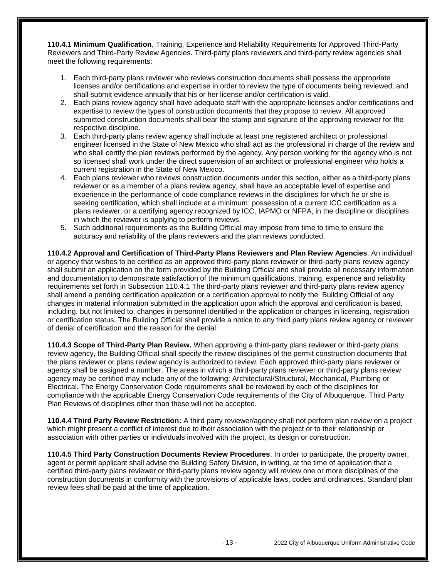**110.4.1 Minimum Qualification**, Training, Experience and Reliability Requirements for Approved Third-Party Reviewers and Third-Party Review Agencies. Third-party plans reviewers and third-party review agencies shall meet the following requirements:

- 1. Each third-party plans reviewer who reviews construction documents shall possess the appropriate licenses and/or certifications and expertise in order to review the type of documents being reviewed, and shall submit evidence annually that his or her license and/or certification is valid.
- 2. Each plans review agency shall have adequate staff with the appropriate licenses and/or certifications and expertise to review the types of construction documents that they propose to review. All approved submitted construction documents shall bear the stamp and signature of the approving reviewer for the respective discipline.
- 3. Each third-party plans review agency shall include at least one registered architect or professional engineer licensed in the State of New Mexico who shall act as the professional in charge of the review and who shall certify the plan reviews performed by the agency. Any person working for the agency who is not so licensed shall work under the direct supervision of an architect or professional engineer who holds a current registration in the State of New Mexico.
- 4. Each plans reviewer who reviews construction documents under this section, either as a third-party plans reviewer or as a member of a plans review agency, shall have an acceptable level of expertise and experience in the performance of code compliance reviews in the disciplines for which he or she is seeking certification, which shall include at a minimum: possession of a current ICC certification as a plans reviewer, or a certifying agency recognized by ICC, IAPMO or NFPA, in the discipline or disciplines in which the reviewer is applying to perform reviews.
- 5. Such additional requirements as the Building Official may impose from time to time to ensure the accuracy and reliability of the plans reviewers and the plan reviews conducted.

**110.4.2 Approval and Certification of Third-Party Plans Reviewers and Plan Review Agencies**. An individual or agency that wishes to be certified as an approved third-party plans reviewer or third-party plans review agency shall submit an application on the form provided by the Building Official and shall provide all necessary information and documentation to demonstrate satisfaction of the minimum qualifications, training, experience and reliability requirements set forth in Subsection 110.4.1 The third-party plans reviewer and third-party plans review agency shall amend a pending certification application or a certification approval to notify the Building Official of any changes in material information submitted in the application upon which the approval and certification is based, including, but not limited to, changes in personnel identified in the application or changes in licensing, registration or certification status. The Building Official shall provide a notice to any third party plans review agency or reviewer of denial of certification and the reason for the denial.

**110.4.3 Scope of Third-Party Plan Review.** When approving a third-party plans reviewer or third-party plans review agency, the Building Official shall specify the review disciplines of the permit construction documents that the plans reviewer or plans review agency is authorized to review. Each approved third-party plans reviewer or agency shall be assigned a number. The areas in which a third-party plans reviewer or third-party plans review agency may be certified may include any of the following: Architectural/Structural, Mechanical, Plumbing or Electrical. The Energy Conservation Code requirements shall be reviewed by each of the disciplines for compliance with the applicable Energy Conservation Code requirements of the City of Albuquerque. Third Party Plan Reviews of disciplines other than these will not be accepted.

**110.4.4 Third Party Review Restriction:** A third party reviewer/agency shall not perform plan review on a project which might present a conflict of interest due to their association with the project or to their relationship or association with other parties or individuals involved with the project, its design or construction.

**110.4.5 Third Party Construction Documents Review Procedures**. In order to participate, the property owner, agent or permit applicant shall advise the Building Safety Division, in writing, at the time of application that a certified third-party plans reviewer or third-party plans review agency will review one or more disciplines of the construction documents in conformity with the provisions of applicable laws, codes and ordinances. Standard plan review fees shall be paid at the time of application.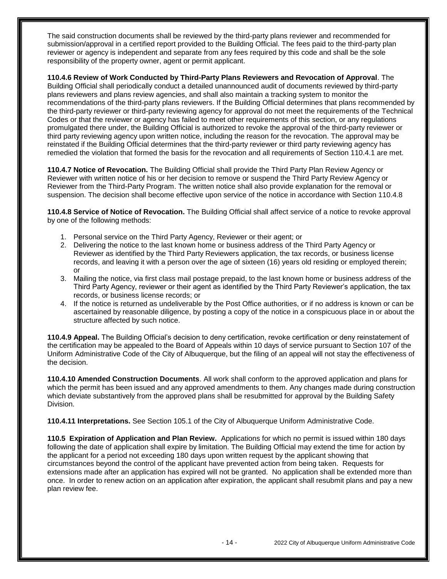The said construction documents shall be reviewed by the third-party plans reviewer and recommended for submission/approval in a certified report provided to the Building Official. The fees paid to the third-party plan reviewer or agency is independent and separate from any fees required by this code and shall be the sole responsibility of the property owner, agent or permit applicant.

**110.4.6 Review of Work Conducted by Third-Party Plans Reviewers and Revocation of Approval**. The Building Official shall periodically conduct a detailed unannounced audit of documents reviewed by third-party plans reviewers and plans review agencies, and shall also maintain a tracking system to monitor the recommendations of the third-party plans reviewers. If the Building Official determines that plans recommended by the third-party reviewer or third-party reviewing agency for approval do not meet the requirements of the Technical Codes or that the reviewer or agency has failed to meet other requirements of this section, or any regulations promulgated there under, the Building Official is authorized to revoke the approval of the third-party reviewer or third party reviewing agency upon written notice, including the reason for the revocation. The approval may be reinstated if the Building Official determines that the third-party reviewer or third party reviewing agency has remedied the violation that formed the basis for the revocation and all requirements of Section 110.4.1 are met.

**110.4.7 Notice of Revocation.** The Building Official shall provide the Third Party Plan Review Agency or Reviewer with written notice of his or her decision to remove or suspend the Third Party Review Agency or Reviewer from the Third-Party Program. The written notice shall also provide explanation for the removal or suspension. The decision shall become effective upon service of the notice in accordance with Section 110.4.8

**110.4.8 Service of Notice of Revocation.** The Building Official shall affect service of a notice to revoke approval by one of the following methods:

- 1. Personal service on the Third Party Agency, Reviewer or their agent; or
- 2. Delivering the notice to the last known home or business address of the Third Party Agency or Reviewer as identified by the Third Party Reviewers application, the tax records, or business license records, and leaving it with a person over the age of sixteen (16) years old residing or employed therein; or
- 3. Mailing the notice, via first class mail postage prepaid, to the last known home or business address of the Third Party Agency, reviewer or their agent as identified by the Third Party Reviewer's application, the tax records, or business license records; or
- 4. If the notice is returned as undeliverable by the Post Office authorities, or if no address is known or can be ascertained by reasonable diligence, by posting a copy of the notice in a conspicuous place in or about the structure affected by such notice.

**110.4.9 Appeal.** The Building Official's decision to deny certification, revoke certification or deny reinstatement of the certification may be appealed to the Board of Appeals within 10 days of service pursuant to Section 107 of the Uniform Administrative Code of the City of Albuquerque, but the filing of an appeal will not stay the effectiveness of the decision.

**110.4.10 Amended Construction Documents**. All work shall conform to the approved application and plans for which the permit has been issued and any approved amendments to them. Any changes made during construction which deviate substantively from the approved plans shall be resubmitted for approval by the Building Safety Division.

**110.4.11 Interpretations.** See Section 105.1 of the City of Albuquerque Uniform Administrative Code.

**110.5 Expiration of Application and Plan Review.** Applications for which no permit is issued within 180 days following the date of application shall expire by limitation. The Building Official may extend the time for action by the applicant for a period not exceeding 180 days upon written request by the applicant showing that circumstances beyond the control of the applicant have prevented action from being taken. Requests for extensions made after an application has expired will not be granted. No application shall be extended more than once. In order to renew action on an application after expiration, the applicant shall resubmit plans and pay a new plan review fee.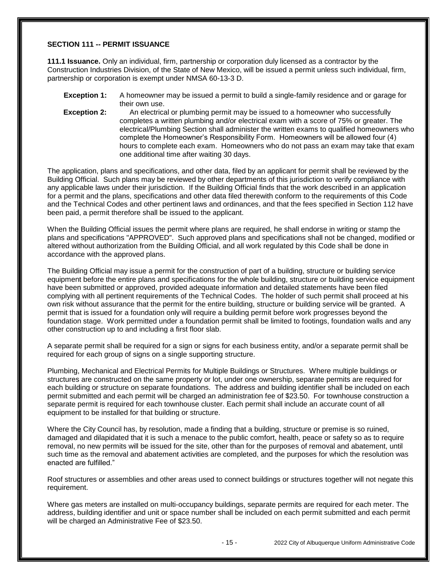#### **SECTION 111 -- PERMIT ISSUANCE**

**111.1 Issuance.** Only an individual, firm, partnership or corporation duly licensed as a contractor by the Construction Industries Division, of the State of New Mexico, will be issued a permit unless such individual, firm, partnership or corporation is exempt under NMSA 60-13-3 D.

- **Exception 1:** A homeowner may be issued a permit to build a single-family residence and or garage for their own use.
- **Exception 2:** An electrical or plumbing permit may be issued to a homeowner who successfully completes a written plumbing and/or electrical exam with a score of 75% or greater. The electrical/Plumbing Section shall administer the written exams to qualified homeowners who complete the Homeowner's Responsibility Form. Homeowners will be allowed four (4) hours to complete each exam. Homeowners who do not pass an exam may take that exam one additional time after waiting 30 days.

The application, plans and specifications, and other data, filed by an applicant for permit shall be reviewed by the Building Official. Such plans may be reviewed by other departments of this jurisdiction to verify compliance with any applicable laws under their jurisdiction. If the Building Official finds that the work described in an application for a permit and the plans, specifications and other data filed therewith conform to the requirements of this Code and the Technical Codes and other pertinent laws and ordinances, and that the fees specified in Section 112 have been paid, a permit therefore shall be issued to the applicant.

When the Building Official issues the permit where plans are required, he shall endorse in writing or stamp the plans and specifications "APPROVED". Such approved plans and specifications shall not be changed, modified or altered without authorization from the Building Official, and all work regulated by this Code shall be done in accordance with the approved plans.

The Building Official may issue a permit for the construction of part of a building, structure or building service equipment before the entire plans and specifications for the whole building, structure or building service equipment have been submitted or approved, provided adequate information and detailed statements have been filed complying with all pertinent requirements of the Technical Codes. The holder of such permit shall proceed at his own risk without assurance that the permit for the entire building, structure or building service will be granted. A permit that is issued for a foundation only will require a building permit before work progresses beyond the foundation stage. Work permitted under a foundation permit shall be limited to footings, foundation walls and any other construction up to and including a first floor slab.

A separate permit shall be required for a sign or signs for each business entity, and/or a separate permit shall be required for each group of signs on a single supporting structure.

Plumbing, Mechanical and Electrical Permits for Multiple Buildings or Structures. Where multiple buildings or structures are constructed on the same property or lot, under one ownership, separate permits are required for each building or structure on separate foundations. The address and building identifier shall be included on each permit submitted and each permit will be charged an administration fee of \$23.50. For townhouse construction a separate permit is required for each townhouse cluster. Each permit shall include an accurate count of all equipment to be installed for that building or structure.

Where the City Council has, by resolution, made a finding that a building, structure or premise is so ruined, damaged and dilapidated that it is such a menace to the public comfort, health, peace or safety so as to require removal, no new permits will be issued for the site, other than for the purposes of removal and abatement, until such time as the removal and abatement activities are completed, and the purposes for which the resolution was enacted are fulfilled."

Roof structures or assemblies and other areas used to connect buildings or structures together will not negate this requirement.

Where gas meters are installed on multi-occupancy buildings, separate permits are required for each meter. The address, building identifier and unit or space number shall be included on each permit submitted and each permit will be charged an Administrative Fee of \$23.50.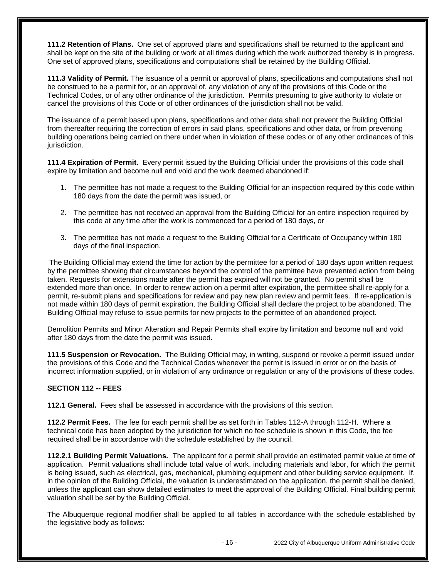**111.2 Retention of Plans.** One set of approved plans and specifications shall be returned to the applicant and shall be kept on the site of the building or work at all times during which the work authorized thereby is in progress. One set of approved plans, specifications and computations shall be retained by the Building Official.

**111.3 Validity of Permit.** The issuance of a permit or approval of plans, specifications and computations shall not be construed to be a permit for, or an approval of, any violation of any of the provisions of this Code or the Technical Codes, or of any other ordinance of the jurisdiction. Permits presuming to give authority to violate or cancel the provisions of this Code or of other ordinances of the jurisdiction shall not be valid.

The issuance of a permit based upon plans, specifications and other data shall not prevent the Building Official from thereafter requiring the correction of errors in said plans, specifications and other data, or from preventing building operations being carried on there under when in violation of these codes or of any other ordinances of this jurisdiction.

**111.4 Expiration of Permit.** Every permit issued by the Building Official under the provisions of this code shall expire by limitation and become null and void and the work deemed abandoned if:

- 1. The permittee has not made a request to the Building Official for an inspection required by this code within 180 days from the date the permit was issued, or
- 2. The permittee has not received an approval from the Building Official for an entire inspection required by this code at any time after the work is commenced for a period of 180 days, or
- 3. The permittee has not made a request to the Building Official for a Certificate of Occupancy within 180 days of the final inspection.

The Building Official may extend the time for action by the permittee for a period of 180 days upon written request by the permittee showing that circumstances beyond the control of the permittee have prevented action from being taken. Requests for extensions made after the permit has expired will not be granted. No permit shall be extended more than once. In order to renew action on a permit after expiration, the permittee shall re-apply for a permit, re-submit plans and specifications for review and pay new plan review and permit fees. If re-application is not made within 180 days of permit expiration, the Building Official shall declare the project to be abandoned. The Building Official may refuse to issue permits for new projects to the permittee of an abandoned project.

Demolition Permits and Minor Alteration and Repair Permits shall expire by limitation and become null and void after 180 days from the date the permit was issued.

**111.5 Suspension or Revocation.** The Building Official may, in writing, suspend or revoke a permit issued under the provisions of this Code and the Technical Codes whenever the permit is issued in error or on the basis of incorrect information supplied, or in violation of any ordinance or regulation or any of the provisions of these codes.

#### **SECTION 112 -- FEES**

**112.1 General.** Fees shall be assessed in accordance with the provisions of this section.

**112.2 Permit Fees.** The fee for each permit shall be as set forth in Tables 112-A through 112-H. Where a technical code has been adopted by the jurisdiction for which no fee schedule is shown in this Code, the fee required shall be in accordance with the schedule established by the council.

**112.2.1 Building Permit Valuations.** The applicant for a permit shall provide an estimated permit value at time of application. Permit valuations shall include total value of work, including materials and labor, for which the permit is being issued, such as electrical, gas, mechanical, plumbing equipment and other building service equipment. If, in the opinion of the Building Official, the valuation is underestimated on the application, the permit shall be denied, unless the applicant can show detailed estimates to meet the approval of the Building Official. Final building permit valuation shall be set by the Building Official.

The Albuquerque regional modifier shall be applied to all tables in accordance with the schedule established by the legislative body as follows: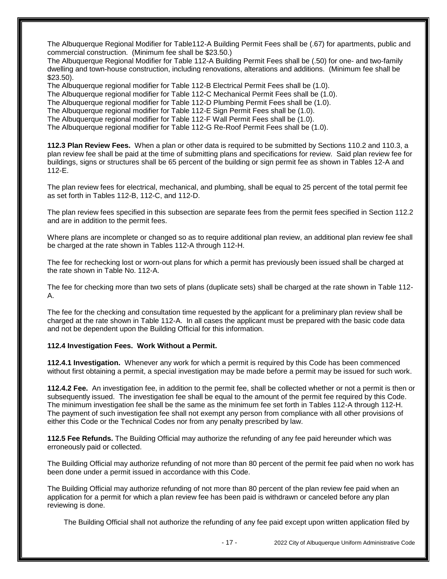The Albuquerque Regional Modifier for Table112-A Building Permit Fees shall be (.67) for apartments, public and commercial construction. (Minimum fee shall be \$23.50.)

The Albuquerque Regional Modifier for Table 112-A Building Permit Fees shall be (.50) for one- and two-family dwelling and town-house construction, including renovations, alterations and additions. (Minimum fee shall be \$23.50).

The Albuquerque regional modifier for Table 112-B Electrical Permit Fees shall be (1.0).

The Albuquerque regional modifier for Table 112-C Mechanical Permit Fees shall be (1.0).

The Albuquerque regional modifier for Table 112-D Plumbing Permit Fees shall be (1.0).

The Albuquerque regional modifier for Table 112-E Sign Permit Fees shall be (1.0).

The Albuquerque regional modifier for Table 112-F Wall Permit Fees shall be (1.0).

The Albuquerque regional modifier for Table 112-G Re-Roof Permit Fees shall be (1.0).

**112.3 Plan Review Fees.** When a plan or other data is required to be submitted by Sections 110.2 and 110.3, a plan review fee shall be paid at the time of submitting plans and specifications for review. Said plan review fee for buildings, signs or structures shall be 65 percent of the building or sign permit fee as shown in Tables 12-A and 112-E.

The plan review fees for electrical, mechanical, and plumbing, shall be equal to 25 percent of the total permit fee as set forth in Tables 112-B, 112-C, and 112-D.

The plan review fees specified in this subsection are separate fees from the permit fees specified in Section 112.2 and are in addition to the permit fees.

Where plans are incomplete or changed so as to require additional plan review, an additional plan review fee shall be charged at the rate shown in Tables 112-A through 112-H.

The fee for rechecking lost or worn-out plans for which a permit has previously been issued shall be charged at the rate shown in Table No. 112-A.

The fee for checking more than two sets of plans (duplicate sets) shall be charged at the rate shown in Table 112- A.

The fee for the checking and consultation time requested by the applicant for a preliminary plan review shall be charged at the rate shown in Table 112-A. In all cases the applicant must be prepared with the basic code data and not be dependent upon the Building Official for this information.

#### **112.4 Investigation Fees. Work Without a Permit.**

**112.4.1 Investigation.** Whenever any work for which a permit is required by this Code has been commenced without first obtaining a permit, a special investigation may be made before a permit may be issued for such work.

**112.4.2 Fee.** An investigation fee, in addition to the permit fee, shall be collected whether or not a permit is then or subsequently issued. The investigation fee shall be equal to the amount of the permit fee required by this Code. The minimum investigation fee shall be the same as the minimum fee set forth in Tables 112-A through 112-H. The payment of such investigation fee shall not exempt any person from compliance with all other provisions of either this Code or the Technical Codes nor from any penalty prescribed by law.

**112.5 Fee Refunds.** The Building Official may authorize the refunding of any fee paid hereunder which was erroneously paid or collected.

The Building Official may authorize refunding of not more than 80 percent of the permit fee paid when no work has been done under a permit issued in accordance with this Code.

The Building Official may authorize refunding of not more than 80 percent of the plan review fee paid when an application for a permit for which a plan review fee has been paid is withdrawn or canceled before any plan reviewing is done.

The Building Official shall not authorize the refunding of any fee paid except upon written application filed by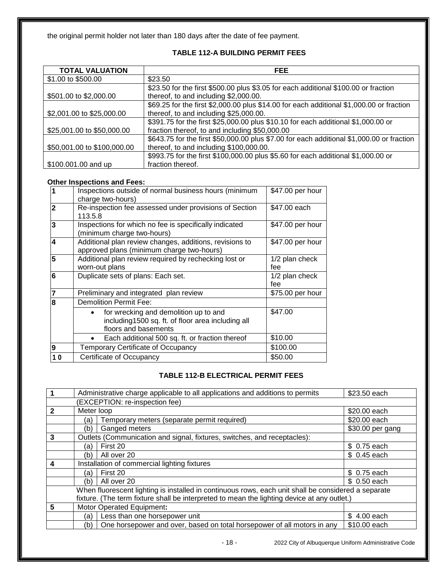the original permit holder not later than 180 days after the date of fee payment.

#### **TABLE 112-A BUILDING PERMIT FEES**

| <b>TOTAL VALUATION</b>      | <b>FEE</b>                                                                                |
|-----------------------------|-------------------------------------------------------------------------------------------|
| \$1.00 to \$500.00          | \$23.50                                                                                   |
|                             | \$23.50 for the first \$500.00 plus \$3.05 for each additional \$100.00 or fraction       |
| \$501.00 to \$2,000.00      | thereof, to and including \$2,000.00.                                                     |
|                             | \$69.25 for the first \$2,000.00 plus \$14.00 for each additional \$1,000.00 or fraction  |
| \$2,001.00 to \$25,000.00   | thereof, to and including \$25,000.00.                                                    |
|                             | \$391.75 for the first \$25,000.00 plus \$10.10 for each additional \$1,000.00 or         |
| \$25,001.00 to \$50,000.00  | fraction thereof, to and including \$50,000.00                                            |
|                             | \$643.75 for the first \$50,000.00 plus \$7.00 for each additional \$1,000.00 or fraction |
| \$50,001.00 to \$100,000.00 | thereof, to and including \$100,000.00.                                                   |
|                             | \$993.75 for the first \$100,000.00 plus \$5.60 for each additional \$1,000.00 or         |
| \$100,001,00 and up         | fraction thereof.                                                                         |

#### **Other Inspections and Fees:**

| 1                       | Inspections outside of normal business hours (minimum<br>charge two-hours)                                         | \$47.00 per hour      |
|-------------------------|--------------------------------------------------------------------------------------------------------------------|-----------------------|
| $\overline{2}$          | Re-inspection fee assessed under provisions of Section<br>113.5.8                                                  | \$47.00 each          |
| 3                       | Inspections for which no fee is specifically indicated<br>(minimum charge two-hours)                               | \$47.00 per hour      |
| $\overline{\mathbf{4}}$ | Additional plan review changes, additions, revisions to<br>approved plans (minimum charge two-hours)               | \$47.00 per hour      |
| 5                       | Additional plan review required by rechecking lost or<br>worn-out plans                                            | 1/2 plan check<br>fee |
| 6                       | Duplicate sets of plans: Each set.                                                                                 | 1/2 plan check<br>fee |
|                         | Preliminary and integrated plan review                                                                             | \$75.00 per hour      |
| 8                       | <b>Demolition Permit Fee:</b>                                                                                      |                       |
|                         | for wrecking and demolition up to and<br>including1500 sq. ft. of floor area including all<br>floors and basements | \$47.00               |
|                         | Each additional 500 sq. ft. or fraction thereof                                                                    | \$10.00               |
| 9                       | Temporary Certificate of Occupancy                                                                                 | \$100.00              |
| 10                      | Certificate of Occupancy                                                                                           | \$50.00               |

#### **TABLE 112-B ELECTRICAL PERMIT FEES**

| Administrative charge applicable to all applications and additions to permits<br>\$23.50 each |                                                                         |                                                                                                                                                                                                                                               |  |  |  |
|-----------------------------------------------------------------------------------------------|-------------------------------------------------------------------------|-----------------------------------------------------------------------------------------------------------------------------------------------------------------------------------------------------------------------------------------------|--|--|--|
| (EXCEPTION: re-inspection fee)                                                                |                                                                         |                                                                                                                                                                                                                                               |  |  |  |
|                                                                                               |                                                                         | \$20.00 each                                                                                                                                                                                                                                  |  |  |  |
| (a)                                                                                           | Temporary meters (separate permit required)                             | \$20.00 each                                                                                                                                                                                                                                  |  |  |  |
| (b)                                                                                           | Ganged meters                                                           | \$30.00 per gang                                                                                                                                                                                                                              |  |  |  |
|                                                                                               |                                                                         |                                                                                                                                                                                                                                               |  |  |  |
| (a)                                                                                           | First 20                                                                | \$ 0.75 each                                                                                                                                                                                                                                  |  |  |  |
| (b)                                                                                           | All over 20                                                             | \$ 0.45 each                                                                                                                                                                                                                                  |  |  |  |
|                                                                                               |                                                                         |                                                                                                                                                                                                                                               |  |  |  |
| (a)                                                                                           | First 20                                                                | \$ 0.75 each                                                                                                                                                                                                                                  |  |  |  |
| (b)                                                                                           | All over 20                                                             | \$ 0.50 each                                                                                                                                                                                                                                  |  |  |  |
|                                                                                               |                                                                         |                                                                                                                                                                                                                                               |  |  |  |
| fixture. (The term fixture shall be interpreted to mean the lighting device at any outlet.)   |                                                                         |                                                                                                                                                                                                                                               |  |  |  |
| Motor Operated Equipment:                                                                     |                                                                         |                                                                                                                                                                                                                                               |  |  |  |
| (a)                                                                                           | Less than one horsepower unit                                           | \$4.00 each                                                                                                                                                                                                                                   |  |  |  |
| (b)                                                                                           | One horsepower and over, based on total horsepower of all motors in any | \$10.00 each                                                                                                                                                                                                                                  |  |  |  |
|                                                                                               |                                                                         | Meter loop<br>Outlets (Communication and signal, fixtures, switches, and receptacles):<br>Installation of commercial lighting fixtures<br>When fluorescent lighting is installed in continuous rows, each unit shall be considered a separate |  |  |  |

- 18 - 2022 City of Albuquerque Uniform Administrative Code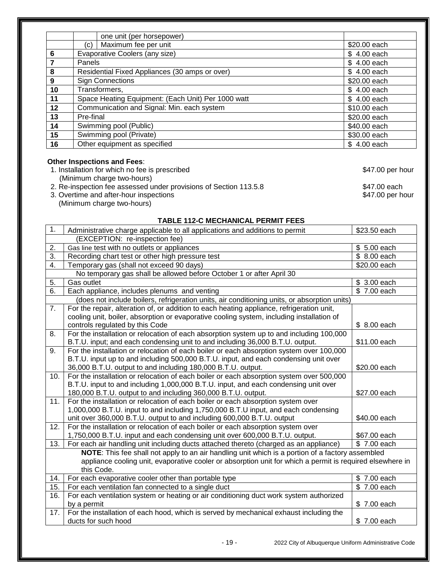|    | one unit (per horsepower)                                                                                          |                  |
|----|--------------------------------------------------------------------------------------------------------------------|------------------|
|    | Maximum fee per unit<br>(c)                                                                                        | \$20.00 each     |
| 6  | Evaporative Coolers (any size)                                                                                     | \$4.00 each      |
|    | Panels                                                                                                             | \$4.00 each      |
| 8  | Residential Fixed Appliances (30 amps or over)                                                                     | \$4.00 each      |
| 9  | <b>Sign Connections</b>                                                                                            | \$20.00 each     |
| 10 | Transformers,                                                                                                      | \$4.00 each      |
| 11 | Space Heating Equipment: (Each Unit) Per 1000 watt                                                                 | \$4.00 each      |
| 12 | Communication and Signal: Min. each system                                                                         | \$10.00 each     |
| 13 | Pre-final                                                                                                          | \$20.00 each     |
| 14 | Swimming pool (Public)                                                                                             | \$40.00 each     |
| 15 | Swimming pool (Private)                                                                                            | \$30.00 each     |
| 16 | Other equipment as specified                                                                                       | \$4.00 each      |
|    | <b>Other Inspections and Fees:</b><br>1. Installation for which no fee is prescribed<br>(Minimum charge two-hours) | \$47.00 per hour |

| 2. Re-inspection fee assessed under provisions of Section 113.5.8 | \$47.00 each     |
|-------------------------------------------------------------------|------------------|
| 3. Overtime and after-hour inspections                            | \$47.00 per hour |
| (Minimum charge two-hours)                                        |                  |

#### **TABLE 112-C MECHANICAL PERMIT FEES**

| 1.               | Administrative charge applicable to all applications and additions to permit                              | \$23.50 each              |  |  |  |
|------------------|-----------------------------------------------------------------------------------------------------------|---------------------------|--|--|--|
|                  | (EXCEPTION: re-inspection fee)                                                                            |                           |  |  |  |
| 2.               | Gas line test with no outlets or appliances                                                               | $$5.00$ each              |  |  |  |
| $\overline{3}$ . | Recording chart test or other high pressure test                                                          | $\overline{\$}$ 8.00 each |  |  |  |
| 4.               | Temporary gas (shall not exceed 90 days)                                                                  | \$20.00 each              |  |  |  |
|                  | No temporary gas shall be allowed before October 1 or after April 30                                      |                           |  |  |  |
| 5.               | Gas outlet                                                                                                | \$ 3.00 each              |  |  |  |
| 6.               | Each appliance, includes plenums and venting                                                              | \$7.00 each               |  |  |  |
|                  | (does not include boilers, refrigeration units, air conditioning units, or absorption units)              |                           |  |  |  |
| 7.               | For the repair, alteration of, or addition to each heating appliance, refrigeration unit,                 |                           |  |  |  |
|                  | cooling unit, boiler, absorption or evaporative cooling system, including installation of                 |                           |  |  |  |
|                  | controls regulated by this Code                                                                           | \$ 8.00 each              |  |  |  |
| 8.               | For the installation or relocation of each absorption system up to and including 100,000                  |                           |  |  |  |
|                  | B.T.U. input; and each condensing unit to and including 36,000 B.T.U. output.                             | \$11.00 each              |  |  |  |
| 9.               | For the installation or relocation of each boiler or each absorption system over 100,000                  |                           |  |  |  |
|                  | B.T.U. input up to and including 500,000 B.T.U. input, and each condensing unit over                      |                           |  |  |  |
|                  | 36,000 B.T.U. output to and including 180,000 B.T.U. output.                                              | \$20.00 each              |  |  |  |
| 10.              | For the installation or relocation of each boiler or each absorption system over 500,000                  |                           |  |  |  |
|                  | B.T.U. input to and including 1,000,000 B.T.U. input, and each condensing unit over                       |                           |  |  |  |
|                  | 180,000 B.T.U. output to and including 360,000 B.T.U. output.                                             | \$27.00 each              |  |  |  |
| 11.              | For the installation or relocation of each boiler or each absorption system over                          |                           |  |  |  |
|                  | 1,000,000 B.T.U. input to and including 1,750,000 B.T.U input, and each condensing                        |                           |  |  |  |
|                  | unit over 360,000 B.T.U. output to and including 600,000 B.T.U. output                                    | \$40.00 each              |  |  |  |
| 12.              | For the installation or relocation of each boiler or each absorption system over                          |                           |  |  |  |
|                  | 1,750,000 B.T.U. input and each condensing unit over 600,000 B.T.U. output.                               | \$67.00 each              |  |  |  |
| 13.              | For each air handling unit including ducts attached thereto (charged as an appliance)                     | \$7.00 each               |  |  |  |
|                  | NOTE: This fee shall not apply to an air handling unit which is a portion of a factory assembled          |                           |  |  |  |
|                  | appliance cooling unit, evaporative cooler or absorption unit for which a permit is required elsewhere in |                           |  |  |  |
|                  | this Code.                                                                                                |                           |  |  |  |
| 14.              | For each evaporative cooler other than portable type                                                      | \$7.00 each               |  |  |  |
| 15.              | For each ventilation fan connected to a single duct                                                       | \$7.00 each               |  |  |  |
| 16.              | For each ventilation system or heating or air conditioning duct work system authorized                    |                           |  |  |  |
|                  | by a permit                                                                                               | \$7.00 each               |  |  |  |
| 17.              | For the installation of each hood, which is served by mechanical exhaust including the                    |                           |  |  |  |
|                  | ducts for such hood                                                                                       | \$7.00 each               |  |  |  |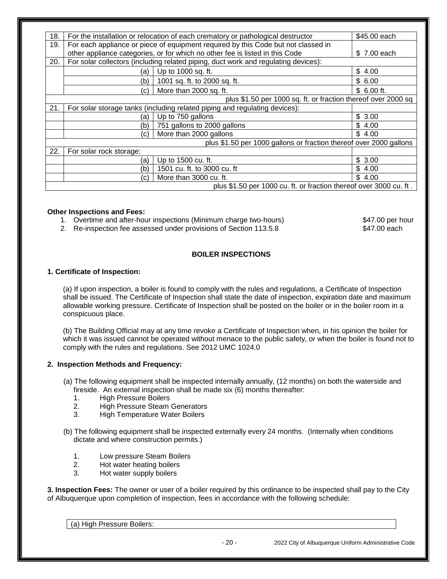| 18. |                                                                            | For the installation or relocation of each crematory or pathological destructor    | \$45.00 each     |  |  |
|-----|----------------------------------------------------------------------------|------------------------------------------------------------------------------------|------------------|--|--|
| 19. |                                                                            | For each appliance or piece of equipment required by this Code but not classed in  |                  |  |  |
|     |                                                                            | other appliance categories, or for which no other fee is listed in this Code       | 7.00 each<br>\$. |  |  |
| 20. |                                                                            | For solar collectors (including related piping, duct work and regulating devices): |                  |  |  |
|     | (a)                                                                        | Up to 1000 sq. ft.                                                                 | \$4.00           |  |  |
|     | (b)                                                                        | 1001 sq. ft. to 2000 sq. ft.                                                       | \$6.00           |  |  |
|     | (c)                                                                        | More than 2000 sq. ft.                                                             | \$6.00 ft.       |  |  |
|     |                                                                            | plus \$1.50 per 1000 sq. ft. or fraction thereof over 2000 sq                      |                  |  |  |
| 21. | For solar storage tanks (including related piping and regulating devices): |                                                                                    |                  |  |  |
|     | 'al                                                                        | Up to 750 gallons                                                                  | \$3.00           |  |  |
|     | (b)                                                                        | 751 gallons to 2000 gallons                                                        | £.<br>4.00       |  |  |
|     | (c)                                                                        | More than 2000 gallons                                                             | \$4.00           |  |  |
|     |                                                                            | plus \$1.50 per 1000 gallons or fraction thereof over 2000 gallons                 |                  |  |  |
| 22. | For solar rock storage:                                                    |                                                                                    |                  |  |  |
|     | 'a)                                                                        | Up to 1500 cu. ft.                                                                 | \$3.00           |  |  |
|     | (b)                                                                        | 1501 cu. ft. to 3000 cu. ft.                                                       | \$<br>4.00       |  |  |
|     | (c)                                                                        | More than 3000 cu. ft.                                                             | £.<br>4.00       |  |  |
|     | plus \$1.50 per 1000 cu. ft. or fraction thereof over 3000 cu. ft.         |                                                                                    |                  |  |  |

#### **Other Inspections and Fees:**

1. Overtime and after-hour inspections (Minimum charge two-hours) \$47.00 per hour

2. Re-inspection fee assessed under provisions of Section 113.5.8 \$47.00 each

#### **BOILER INSPECTIONS**

#### **1. Certificate of Inspection:**

(a) If upon inspection, a boiler is found to comply with the rules and regulations, a Certificate of Inspection shall be issued. The Certificate of Inspection shall state the date of inspection, expiration date and maximum allowable working pressure. Certificate of Inspection shall be posted on the boiler or in the boiler room in a conspicuous place.

(b) The Building Official may at any time revoke a Certificate of Inspection when, in his opinion the boiler for which it was issued cannot be operated without menace to the public safety, or when the boiler is found not to comply with the rules and regulations. See 2012 UMC 1024.0

#### **2. Inspection Methods and Frequency:**

- (a) The following equipment shall be inspected internally annually, (12 months) on both the waterside and fireside. An external inspection shall be made six (6) months thereafter:
	- 1. High Pressure Boilers
	- 2. High Pressure Steam Generators
	- 3. High Temperature Water Boilers
- (b) The following equipment shall be inspected externally every 24 months. (Internally when conditions dictate and where construction permits.)
	- 1. Low pressure Steam Boilers
	- 2. Hot water heating boilers
	- 3. Hot water supply boilers

**3. Inspection Fees:** The owner or user of a boiler required by this ordinance to be inspected shall pay to the City of Albuquerque upon completion of inspection, fees in accordance with the following schedule:

(a) High Pressure Boilers:

- 20 - 2022 City of Albuquerque Uniform Administrative Code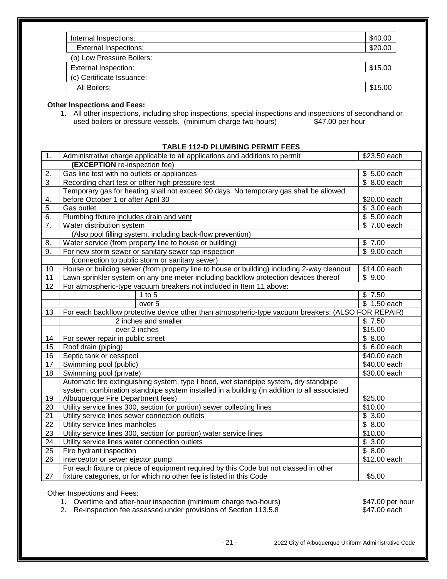| Internal Inspections:        | \$40.00 |
|------------------------------|---------|
| <b>External Inspections:</b> | \$20.00 |
| (b) Low Pressure Boilers:    |         |
| <b>External Inspection:</b>  | \$15.00 |
| (c) Certificate Issuance:    |         |
| All Boilers:                 | \$15.00 |

#### **Other Inspections and Fees:**

1. All other inspections, including shop inspections, special inspections and inspections of secondhand or used boilers or pressure vessels. (minimum charge two-hours) \$47.00 per hour used boilers or pressure vessels. (minimum charge two-hours)

#### **TABLE 112-D PLUMBING PERMIT FEES**

| 1.              | Administrative charge applicable to all applications and additions to permit                       | \$23.50 each |  |  |  |  |
|-----------------|----------------------------------------------------------------------------------------------------|--------------|--|--|--|--|
|                 | (EXCEPTION re-inspection fee)                                                                      |              |  |  |  |  |
| 2.              | Gas line test with no outlets or appliances                                                        | \$5.00 each  |  |  |  |  |
| 3               | Recording chart test or other high pressure test                                                   | \$ 8.00 each |  |  |  |  |
|                 | Temporary gas for heating shall not exceed 90 days. No temporary gas shall be allowed              |              |  |  |  |  |
| 4.              | before October 1 or after April 30                                                                 | \$20.00 each |  |  |  |  |
| 5.              | Gas outlet                                                                                         | \$ 3.00 each |  |  |  |  |
| 6.              | Plumbing fixture includes drain and vent                                                           | \$ 5.00 each |  |  |  |  |
| 7.              | Water distribution system                                                                          | \$7.00 each  |  |  |  |  |
|                 | (Also pool filling system, including back-flow prevention)                                         |              |  |  |  |  |
| 8.              | Water service (from property line to house or building)                                            | \$7.00       |  |  |  |  |
| 9.              | For new storm sewer or sanitary sewer tap inspection                                               | \$ 9.00 each |  |  |  |  |
|                 | (connection to public storm or sanitary sewer)                                                     |              |  |  |  |  |
| 10              | House or building sewer (from property line to house or building) including 2-way cleanout         | \$14.00 each |  |  |  |  |
| 11              | Lawn sprinkler system on any one meter including backflow protection devices thereof               | \$9.00       |  |  |  |  |
| 12              | For atmospheric-type vacuum breakers not included in Item 11 above:                                |              |  |  |  |  |
|                 | $1$ to $5$                                                                                         | \$7.50       |  |  |  |  |
|                 | over <sub>5</sub>                                                                                  | \$1.50 each  |  |  |  |  |
| 13              | For each backflow protective device other than atmospheric-type vacuum breakers: (ALSO FOR REPAIR) |              |  |  |  |  |
|                 | 2 inches and smaller                                                                               | \$7.50       |  |  |  |  |
|                 | over 2 inches                                                                                      | \$15.00      |  |  |  |  |
| 14              | For sewer repair in public street                                                                  | \$8.00       |  |  |  |  |
| 15              | Roof drain (piping)                                                                                | \$ 6.00 each |  |  |  |  |
| 16              | Septic tank or cesspool                                                                            | \$40.00 each |  |  |  |  |
| 17              | Swimming pool (public)                                                                             | \$40.00 each |  |  |  |  |
| 18              | Swimming pool (private)                                                                            | \$30.00 each |  |  |  |  |
|                 | Automatic fire extinguishing system, type I hood, wet standpipe system, dry standpipe              |              |  |  |  |  |
|                 | system, combination standpipe system installed in a building (in addition to all associated        |              |  |  |  |  |
| 19              | Albuquerque Fire Department fees)                                                                  | \$25.00      |  |  |  |  |
| 20              | Utility service lines 300, section (or portion) sewer collecting lines                             | \$10.00      |  |  |  |  |
| 21              | Utility service lines sewer connection outlets                                                     | \$3.00       |  |  |  |  |
| 22              | Utility service lines manholes                                                                     | \$8.00       |  |  |  |  |
| 23              | Utility service lines 300, section (or portion) water service lines                                | \$10.00      |  |  |  |  |
| $\overline{24}$ | Utility service lines water connection outlets                                                     | \$3.00       |  |  |  |  |
| $\overline{25}$ | Fire hydrant inspection                                                                            | \$8.00       |  |  |  |  |
| 26              | Interceptor or sewer ejector pump                                                                  | \$12.00 each |  |  |  |  |
|                 | For each fixture or piece of equipment required by this Code but not classed in other              |              |  |  |  |  |
| 27              | fixture categories, or for which no other fee is listed in this Code                               | \$5.00       |  |  |  |  |

Other Inspections and Fees:

|  | Overtime and after-hour inspection (minimum charge two-hours) |  |  |  |
|--|---------------------------------------------------------------|--|--|--|
|--|---------------------------------------------------------------|--|--|--|

2. Re-inspection fee assessed under provisions of Section 113.5.8

\$47.00 per hour<br>\$47.00 each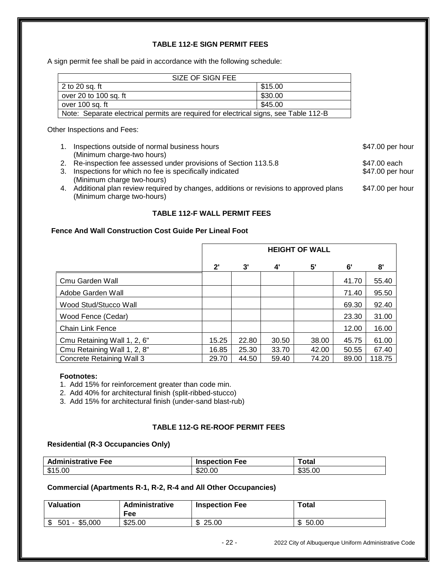#### **TABLE 112-E SIGN PERMIT FEES**

A sign permit fee shall be paid in accordance with the following schedule:

| SIZE OF SIGN FEE                                                                     |         |  |  |  |  |
|--------------------------------------------------------------------------------------|---------|--|--|--|--|
| $\vert$ 2 to 20 sq. ft $\vert$                                                       | \$15.00 |  |  |  |  |
| over 20 to 100 sq. ft                                                                | \$30.00 |  |  |  |  |
| over 100 sq. ft                                                                      | \$45.00 |  |  |  |  |
| Note: Separate electrical permits are required for electrical signs, see Table 112-B |         |  |  |  |  |

Other Inspections and Fees:

|    | Inspections outside of normal business hours<br>(Minimum charge-two hours)              | \$47.00 per hour |
|----|-----------------------------------------------------------------------------------------|------------------|
|    | 2. Re-inspection fee assessed under provisions of Section 113.5.8                       | \$47.00 each     |
| 3. | Inspections for which no fee is specifically indicated                                  | \$47.00 per hour |
|    | (Minimum charge two-hours)                                                              |                  |
|    | 4. Additional plan review required by changes, additions or revisions to approved plans | \$47.00 per hour |
|    | (Minimum charge two-hours)                                                              |                  |

#### **TABLE 112-F WALL PERMIT FEES**

#### **Fence And Wall Construction Cost Guide Per Lineal Foot**

|                             | <b>HEIGHT OF WALL</b> |       |       |       |       |        |
|-----------------------------|-----------------------|-------|-------|-------|-------|--------|
|                             | $2^{\prime}$          | 3'    | 4'    | 5'    | 6'    | 8'     |
| Cmu Garden Wall             |                       |       |       |       | 41.70 | 55.40  |
| Adobe Garden Wall           |                       |       |       |       | 71.40 | 95.50  |
| Wood Stud/Stucco Wall       |                       |       |       |       | 69.30 | 92.40  |
| Wood Fence (Cedar)          |                       |       |       |       | 23.30 | 31.00  |
| <b>Chain Link Fence</b>     |                       |       |       |       | 12.00 | 16.00  |
| Cmu Retaining Wall 1, 2, 6" | 15.25                 | 22.80 | 30.50 | 38.00 | 45.75 | 61.00  |
| Cmu Retaining Wall 1, 2, 8" | 16.85                 | 25.30 | 33.70 | 42.00 | 50.55 | 67.40  |
| Concrete Retaining Wall 3   | 29.70                 | 44.50 | 59.40 | 74.20 | 89.00 | 118.75 |

#### **Footnotes:**

1. Add 15% for reinforcement greater than code min.

2. Add 40% for architectural finish (split-ribbed-stucco)

3. Add 15% for architectural finish (under-sand blast-rub)

#### **TABLE 112-G RE-ROOF PERMIT FEES**

#### **Residential (R-3 Occupancies Only)**

| <b>Administrative</b><br>Fee | Fee<br>Inspection. | `otal   |
|------------------------------|--------------------|---------|
| \$15.00                      | \$20.00            | \$35.00 |

#### **Commercial (Apartments R-1, R-2, R-4 and All Other Occupancies)**

| Valuation                       | Administrative<br>Fee | <b>Inspection Fee</b> | Total |  |  |
|---------------------------------|-----------------------|-----------------------|-------|--|--|
| 501<br>\$5,000<br>₼<br>. .<br>Ф | \$25.00               | 25.00<br>æ<br>ъ.      | 50.00 |  |  |

- 22 - 2022 City of Albuquerque Uniform Administrative Code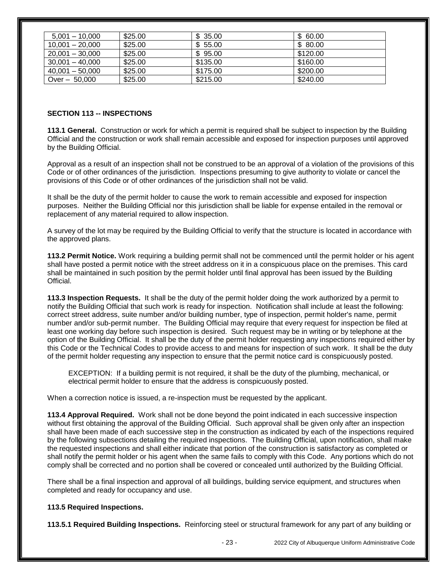| $5,001 - 10,000$  | \$25.00 | \$35.00  | \$ 60.00 |
|-------------------|---------|----------|----------|
| $10,001 - 20,000$ | \$25.00 | \$55.00  | \$ 80.00 |
| $20,001 - 30,000$ | \$25.00 | \$95.00  | \$120.00 |
| $30.001 - 40.000$ | \$25.00 | \$135.00 | \$160.00 |
| $40,001 - 50,000$ | \$25.00 | \$175.00 | \$200.00 |
| $Over - 50.000$   | \$25.00 | \$215.00 | \$240.00 |

#### **SECTION 113 -- INSPECTIONS**

**113.1 General.** Construction or work for which a permit is required shall be subject to inspection by the Building Official and the construction or work shall remain accessible and exposed for inspection purposes until approved by the Building Official.

Approval as a result of an inspection shall not be construed to be an approval of a violation of the provisions of this Code or of other ordinances of the jurisdiction. Inspections presuming to give authority to violate or cancel the provisions of this Code or of other ordinances of the jurisdiction shall not be valid.

It shall be the duty of the permit holder to cause the work to remain accessible and exposed for inspection purposes. Neither the Building Official nor this jurisdiction shall be liable for expense entailed in the removal or replacement of any material required to allow inspection.

A survey of the lot may be required by the Building Official to verify that the structure is located in accordance with the approved plans.

**113.2 Permit Notice.** Work requiring a building permit shall not be commenced until the permit holder or his agent shall have posted a permit notice with the street address on it in a conspicuous place on the premises. This card shall be maintained in such position by the permit holder until final approval has been issued by the Building Official.

**113.3 Inspection Requests.** It shall be the duty of the permit holder doing the work authorized by a permit to notify the Building Official that such work is ready for inspection. Notification shall include at least the following: correct street address, suite number and/or building number, type of inspection, permit holder's name, permit number and/or sub-permit number. The Building Official may require that every request for inspection be filed at least one working day before such inspection is desired. Such request may be in writing or by telephone at the option of the Building Official. It shall be the duty of the permit holder requesting any inspections required either by this Code or the Technical Codes to provide access to and means for inspection of such work. It shall be the duty of the permit holder requesting any inspection to ensure that the permit notice card is conspicuously posted.

EXCEPTION: If a building permit is not required, it shall be the duty of the plumbing, mechanical, or electrical permit holder to ensure that the address is conspicuously posted.

When a correction notice is issued, a re-inspection must be requested by the applicant.

**113.4 Approval Required.** Work shall not be done beyond the point indicated in each successive inspection without first obtaining the approval of the Building Official. Such approval shall be given only after an inspection shall have been made of each successive step in the construction as indicated by each of the inspections required by the following subsections detailing the required inspections. The Building Official, upon notification, shall make the requested inspections and shall either indicate that portion of the construction is satisfactory as completed or shall notify the permit holder or his agent when the same fails to comply with this Code. Any portions which do not comply shall be corrected and no portion shall be covered or concealed until authorized by the Building Official.

There shall be a final inspection and approval of all buildings, building service equipment, and structures when completed and ready for occupancy and use.

#### **113.5 Required Inspections.**

**113.5.1 Required Building Inspections.** Reinforcing steel or structural framework for any part of any building or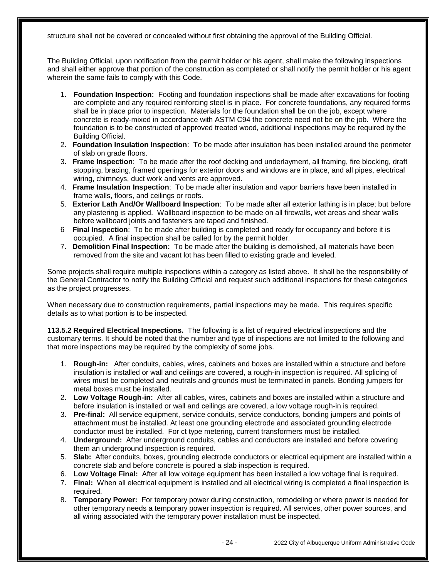structure shall not be covered or concealed without first obtaining the approval of the Building Official.

The Building Official, upon notification from the permit holder or his agent, shall make the following inspections and shall either approve that portion of the construction as completed or shall notify the permit holder or his agent wherein the same fails to comply with this Code.

- 1. **Foundation Inspection:** Footing and foundation inspections shall be made after excavations for footing are complete and any required reinforcing steel is in place. For concrete foundations, any required forms shall be in place prior to inspection. Materials for the foundation shall be on the job, except where concrete is ready-mixed in accordance with ASTM C94 the concrete need not be on the job. Where the foundation is to be constructed of approved treated wood, additional inspections may be required by the Building Official.
- 2. **Foundation Insulation Inspection**: To be made after insulation has been installed around the perimeter of slab on grade floors.
- 3. **Frame Inspection**: To be made after the roof decking and underlayment, all framing, fire blocking, draft stopping, bracing, framed openings for exterior doors and windows are in place, and all pipes, electrical wiring, chimneys, duct work and vents are approved.
- 4. **Frame Insulation Inspection**: To be made after insulation and vapor barriers have been installed in frame walls, floors, and ceilings or roofs.
- 5. **Exterior Lath And/Or Wallboard Inspection**: To be made after all exterior lathing is in place; but before any plastering is applied. Wallboard inspection to be made on all firewalls, wet areas and shear walls before wallboard joints and fasteners are taped and finished.
- 6 **Final Inspection**: To be made after building is completed and ready for occupancy and before it is occupied. A final inspection shall be called for by the permit holder.
- 7. **Demolition Final Inspection:** To be made after the building is demolished, all materials have been removed from the site and vacant lot has been filled to existing grade and leveled.

Some projects shall require multiple inspections within a category as listed above. It shall be the responsibility of the General Contractor to notify the Building Official and request such additional inspections for these categories as the project progresses.

When necessary due to construction requirements, partial inspections may be made. This requires specific details as to what portion is to be inspected.

**113.5.2 Required Electrical Inspections.** The following is a list of required electrical inspections and the customary terms. It should be noted that the number and type of inspections are not limited to the following and that more inspections may be required by the complexity of some jobs.

- 1. **Rough-in:** After conduits, cables, wires, cabinets and boxes are installed within a structure and before insulation is installed or wall and ceilings are covered, a rough-in inspection is required. All splicing of wires must be completed and neutrals and grounds must be terminated in panels. Bonding jumpers for metal boxes must be installed.
- 2. **Low Voltage Rough-in:** After all cables, wires, cabinets and boxes are installed within a structure and before insulation is installed or wall and ceilings are covered, a low voltage rough-in is required.
- 3. **Pre-final:** All service equipment, service conduits, service conductors, bonding jumpers and points of attachment must be installed. At least one grounding electrode and associated grounding electrode conductor must be installed. For ct type metering, current transformers must be installed.
- 4. **Underground:** After underground conduits, cables and conductors are installed and before covering them an underground inspection is required.
- 5. **Slab:** After conduits, boxes, grounding electrode conductors or electrical equipment are installed within a concrete slab and before concrete is poured a slab inspection is required.
- 6. **Low Voltage Final:** After all low voltage equipment has been installed a low voltage final is required.
- 7. **Final:** When all electrical equipment is installed and all electrical wiring is completed a final inspection is required.
- 8. **Temporary Power:** For temporary power during construction, remodeling or where power is needed for other temporary needs a temporary power inspection is required. All services, other power sources, and all wiring associated with the temporary power installation must be inspected.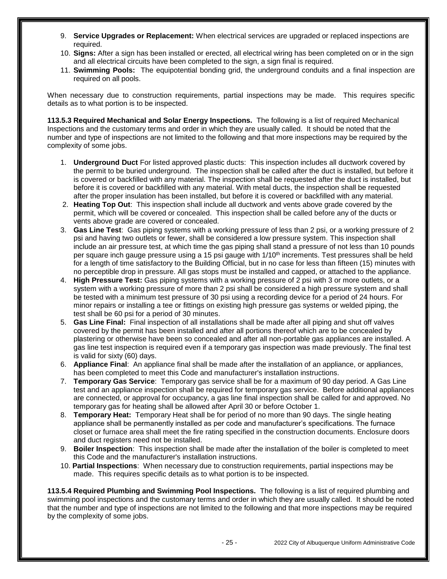- 9. **Service Upgrades or Replacement:** When electrical services are upgraded or replaced inspections are required.
- 10. **Signs:** After a sign has been installed or erected, all electrical wiring has been completed on or in the sign and all electrical circuits have been completed to the sign, a sign final is required.
- 11. **Swimming Pools:** The equipotential bonding grid, the underground conduits and a final inspection are required on all pools.

When necessary due to construction requirements, partial inspections may be made. This requires specific details as to what portion is to be inspected.

**113.5.3 Required Mechanical and Solar Energy Inspections.** The following is a list of required Mechanical Inspections and the customary terms and order in which they are usually called. It should be noted that the number and type of inspections are not limited to the following and that more inspections may be required by the complexity of some jobs.

- 1. **Underground Duct** For listed approved plastic ducts: This inspection includes all ductwork covered by the permit to be buried underground. The inspection shall be called after the duct is installed, but before it is covered or backfilled with any material. The inspection shall be requested after the duct is installed, but before it is covered or backfilled with any material. With metal ducts, the inspection shall be requested after the proper insulation has been installed, but before it is covered or backfilled with any material.
- 2. **Heating Top Out**: This inspection shall include all ductwork and vents above grade covered by the permit, which will be covered or concealed. This inspection shall be called before any of the ducts or vents above grade are covered or concealed.
- 3. **Gas Line Test**: Gas piping systems with a working pressure of less than 2 psi, or a working pressure of 2 psi and having two outlets or fewer, shall be considered a low pressure system. This inspection shall include an air pressure test, at which time the gas piping shall stand a pressure of not less than 10 pounds per square inch gauge pressure using a 15 psi gauge with  $1/10<sup>th</sup>$  increments. Test pressures shall be held for a length of time satisfactory to the Building Official, but in no case for less than fifteen (15) minutes with no perceptible drop in pressure. All gas stops must be installed and capped, or attached to the appliance.
- 4. **High Pressure Test:** Gas piping systems with a working pressure of 2 psi with 3 or more outlets, or a system with a working pressure of more than 2 psi shall be considered a high pressure system and shall be tested with a minimum test pressure of 30 psi using a recording device for a period of 24 hours. For minor repairs or installing a tee or fittings on existing high pressure gas systems or welded piping, the test shall be 60 psi for a period of 30 minutes.
- 5. **Gas Line Final:** Final inspection of all installations shall be made after all piping and shut off valves covered by the permit has been installed and after all portions thereof which are to be concealed by plastering or otherwise have been so concealed and after all non-portable gas appliances are installed. A gas line test inspection is required even if a temporary gas inspection was made previously. The final test is valid for sixty (60) days.
- 6. **Appliance Final**: An appliance final shall be made after the installation of an appliance, or appliances, has been completed to meet this Code and manufacturer's installation instructions.
- 7. **Temporary Gas Service**: Temporary gas service shall be for a maximum of 90 day period. A Gas Line test and an appliance inspection shall be required for temporary gas service. Before additional appliances are connected, or approval for occupancy, a gas line final inspection shall be called for and approved. No temporary gas for heating shall be allowed after April 30 or before October 1.
- 8. **Temporary Heat:** Temporary Heat shall be for period of no more than 90 days. The single heating appliance shall be permanently installed as per code and manufacturer's specifications. The furnace closet or furnace area shall meet the fire rating specified in the construction documents. Enclosure doors and duct registers need not be installed.
- 9. **Boiler Inspection**: This inspection shall be made after the installation of the boiler is completed to meet this Code and the manufacturer's installation instructions.
- 10. **Partial Inspections**: When necessary due to construction requirements, partial inspections may be made. This requires specific details as to what portion is to be inspected.

**113.5.4 Required Plumbing and Swimming Pool Inspections.** The following is a list of required plumbing and swimming pool inspections and the customary terms and order in which they are usually called. It should be noted that the number and type of inspections are not limited to the following and that more inspections may be required by the complexity of some jobs.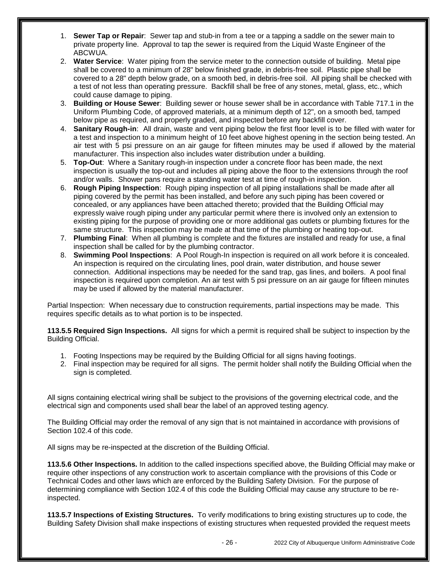- 1. **Sewer Tap or Repair**: Sewer tap and stub-in from a tee or a tapping a saddle on the sewer main to private property line. Approval to tap the sewer is required from the Liquid Waste Engineer of the ABCWUA.
- 2. **Water Service**: Water piping from the service meter to the connection outside of building. Metal pipe shall be covered to a minimum of 28" below finished grade, in debris-free soil. Plastic pipe shall be covered to a 28" depth below grade, on a smooth bed, in debris-free soil. All piping shall be checked with a test of not less than operating pressure. Backfill shall be free of any stones, metal, glass, etc., which could cause damage to piping.
- 3. **Building or House Sewer**: Building sewer or house sewer shall be in accordance with Table 717.1 in the Uniform Plumbing Code, of approved materials, at a minimum depth of 12", on a smooth bed, tamped below pipe as required, and properly graded, and inspected before any backfill cover.
- 4. **Sanitary Rough-in**: All drain, waste and vent piping below the first floor level is to be filled with water for a test and inspection to a minimum height of 10 feet above highest opening in the section being tested. An air test with 5 psi pressure on an air gauge for fifteen minutes may be used if allowed by the material manufacturer. This inspection also includes water distribution under a building.
- 5. **Top-Out**: Where a Sanitary rough-in inspection under a concrete floor has been made, the next inspection is usually the top-out and includes all piping above the floor to the extensions through the roof and/or walls. Shower pans require a standing water test at time of rough-in inspection.
- 6. **Rough Piping Inspection**: Rough piping inspection of all piping installations shall be made after all piping covered by the permit has been installed, and before any such piping has been covered or concealed, or any appliances have been attached thereto; provided that the Building Official may expressly waive rough piping under any particular permit where there is involved only an extension to existing piping for the purpose of providing one or more additional gas outlets or plumbing fixtures for the same structure. This inspection may be made at that time of the plumbing or heating top-out.
- 7. **Plumbing Final**: When all plumbing is complete and the fixtures are installed and ready for use, a final inspection shall be called for by the plumbing contractor.
- 8. **Swimming Pool Inspections**: A Pool Rough-In inspection is required on all work before it is concealed. An inspection is required on the circulating lines, pool drain, water distribution, and house sewer connection. Additional inspections may be needed for the sand trap, gas lines, and boilers. A pool final inspection is required upon completion. An air test with 5 psi pressure on an air gauge for fifteen minutes may be used if allowed by the material manufacturer.

Partial Inspection: When necessary due to construction requirements, partial inspections may be made. This requires specific details as to what portion is to be inspected.

**113.5.5 Required Sign Inspections.** All signs for which a permit is required shall be subject to inspection by the Building Official.

- 1. Footing Inspections may be required by the Building Official for all signs having footings.
- 2. Final inspection may be required for all signs. The permit holder shall notify the Building Official when the sign is completed.

All signs containing electrical wiring shall be subject to the provisions of the governing electrical code, and the electrical sign and components used shall bear the label of an approved testing agency.

The Building Official may order the removal of any sign that is not maintained in accordance with provisions of Section 102.4 of this code.

All signs may be re-inspected at the discretion of the Building Official.

**113.5.6 Other Inspections.** In addition to the called inspections specified above, the Building Official may make or require other inspections of any construction work to ascertain compliance with the provisions of this Code or Technical Codes and other laws which are enforced by the Building Safety Division. For the purpose of determining compliance with Section 102.4 of this code the Building Official may cause any structure to be reinspected.

**113.5.7 Inspections of Existing Structures.** To verify modifications to bring existing structures up to code, the Building Safety Division shall make inspections of existing structures when requested provided the request meets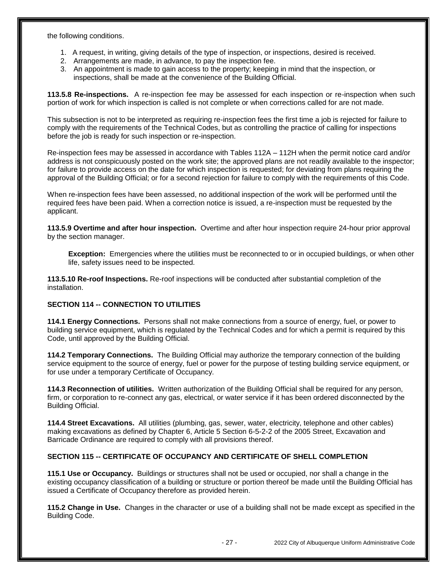the following conditions.

- 1. A request, in writing, giving details of the type of inspection, or inspections, desired is received.
- 2. Arrangements are made, in advance, to pay the inspection fee.
- 3. An appointment is made to gain access to the property; keeping in mind that the inspection, or inspections, shall be made at the convenience of the Building Official.

**113.5.8 Re-inspections.** A re-inspection fee may be assessed for each inspection or re-inspection when such portion of work for which inspection is called is not complete or when corrections called for are not made.

This subsection is not to be interpreted as requiring re-inspection fees the first time a job is rejected for failure to comply with the requirements of the Technical Codes, but as controlling the practice of calling for inspections before the job is ready for such inspection or re-inspection.

Re-inspection fees may be assessed in accordance with Tables 112A – 112H when the permit notice card and/or address is not conspicuously posted on the work site; the approved plans are not readily available to the inspector; for failure to provide access on the date for which inspection is requested; for deviating from plans requiring the approval of the Building Official; or for a second rejection for failure to comply with the requirements of this Code.

When re-inspection fees have been assessed, no additional inspection of the work will be performed until the required fees have been paid. When a correction notice is issued, a re-inspection must be requested by the applicant.

**113.5.9 Overtime and after hour inspection.** Overtime and after hour inspection require 24-hour prior approval by the section manager.

**Exception:** Emergencies where the utilities must be reconnected to or in occupied buildings, or when other life, safety issues need to be inspected.

**113.5.10 Re-roof Inspections.** Re-roof inspections will be conducted after substantial completion of the installation.

#### **SECTION 114 -- CONNECTION TO UTILITIES**

**114.1 Energy Connections.** Persons shall not make connections from a source of energy, fuel, or power to building service equipment, which is regulated by the Technical Codes and for which a permit is required by this Code, until approved by the Building Official.

**114.2 Temporary Connections.** The Building Official may authorize the temporary connection of the building service equipment to the source of energy, fuel or power for the purpose of testing building service equipment, or for use under a temporary Certificate of Occupancy.

**114.3 Reconnection of utilities.** Written authorization of the Building Official shall be required for any person, firm, or corporation to re-connect any gas, electrical, or water service if it has been ordered disconnected by the Building Official.

**114.4 Street Excavations.** All utilities (plumbing, gas, sewer, water, electricity, telephone and other cables) making excavations as defined by Chapter 6, Article 5 Section 6-5-2-2 of the 2005 Street, Excavation and Barricade Ordinance are required to comply with all provisions thereof.

#### **SECTION 115 -- CERTIFICATE OF OCCUPANCY AND CERTIFICATE OF SHELL COMPLETION**

**115.1 Use or Occupancy.** Buildings or structures shall not be used or occupied, nor shall a change in the existing occupancy classification of a building or structure or portion thereof be made until the Building Official has issued a Certificate of Occupancy therefore as provided herein.

**115.2 Change in Use.** Changes in the character or use of a building shall not be made except as specified in the Building Code.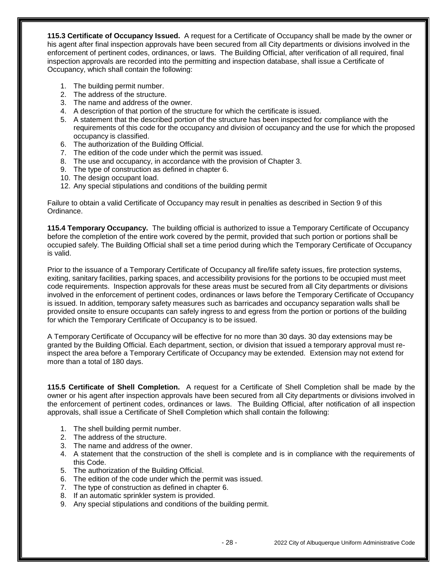**115.3 Certificate of Occupancy Issued.** A request for a Certificate of Occupancy shall be made by the owner or his agent after final inspection approvals have been secured from all City departments or divisions involved in the enforcement of pertinent codes, ordinances, or laws. The Building Official, after verification of all required, final inspection approvals are recorded into the permitting and inspection database, shall issue a Certificate of Occupancy, which shall contain the following:

- 1. The building permit number.
- 2. The address of the structure.
- 3. The name and address of the owner.
- 4. A description of that portion of the structure for which the certificate is issued.
- 5. A statement that the described portion of the structure has been inspected for compliance with the requirements of this code for the occupancy and division of occupancy and the use for which the proposed occupancy is classified.
- 6. The authorization of the Building Official.
- 7. The edition of the code under which the permit was issued.
- 8. The use and occupancy, in accordance with the provision of Chapter 3.
- 9. The type of construction as defined in chapter 6.
- 10. The design occupant load.
- 12. Any special stipulations and conditions of the building permit

Failure to obtain a valid Certificate of Occupancy may result in penalties as described in Section 9 of this Ordinance.

**115.4 Temporary Occupancy.** The building official is authorized to issue a Temporary Certificate of Occupancy before the completion of the entire work covered by the permit, provided that such portion or portions shall be occupied safely. The Building Official shall set a time period during which the Temporary Certificate of Occupancy is valid.

Prior to the issuance of a Temporary Certificate of Occupancy all fire/life safety issues, fire protection systems, exiting, sanitary facilities, parking spaces, and accessibility provisions for the portions to be occupied must meet code requirements. Inspection approvals for these areas must be secured from all City departments or divisions involved in the enforcement of pertinent codes, ordinances or laws before the Temporary Certificate of Occupancy is issued. In addition, temporary safety measures such as barricades and occupancy separation walls shall be provided onsite to ensure occupants can safely ingress to and egress from the portion or portions of the building for which the Temporary Certificate of Occupancy is to be issued.

A Temporary Certificate of Occupancy will be effective for no more than 30 days. 30 day extensions may be granted by the Building Official. Each department, section, or division that issued a temporary approval must reinspect the area before a Temporary Certificate of Occupancy may be extended. Extension may not extend for more than a total of 180 days.

**115.5 Certificate of Shell Completion.** A request for a Certificate of Shell Completion shall be made by the owner or his agent after inspection approvals have been secured from all City departments or divisions involved in the enforcement of pertinent codes, ordinances or laws. The Building Official, after notification of all inspection approvals, shall issue a Certificate of Shell Completion which shall contain the following:

- 1. The shell building permit number.
- 2. The address of the structure.
- 3. The name and address of the owner.
- 4. A statement that the construction of the shell is complete and is in compliance with the requirements of this Code.
- 5. The authorization of the Building Official.
- 6. The edition of the code under which the permit was issued.
- 7. The type of construction as defined in chapter 6.
- 8. If an automatic sprinkler system is provided.
- 9. Any special stipulations and conditions of the building permit.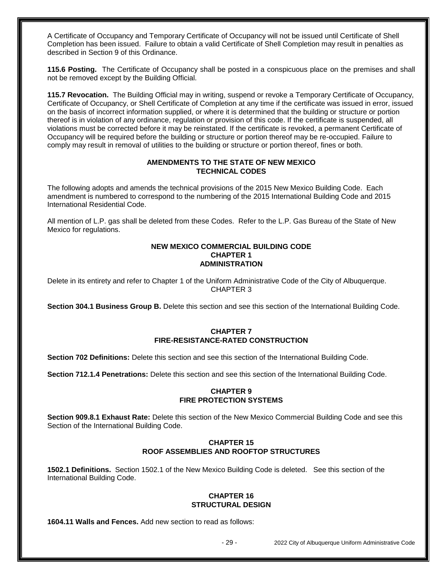A Certificate of Occupancy and Temporary Certificate of Occupancy will not be issued until Certificate of Shell Completion has been issued. Failure to obtain a valid Certificate of Shell Completion may result in penalties as described in Section 9 of this Ordinance.

**115.6 Posting.** The Certificate of Occupancy shall be posted in a conspicuous place on the premises and shall not be removed except by the Building Official.

**115.7 Revocation.** The Building Official may in writing, suspend or revoke a Temporary Certificate of Occupancy, Certificate of Occupancy, or Shell Certificate of Completion at any time if the certificate was issued in error, issued on the basis of incorrect information supplied, or where it is determined that the building or structure or portion thereof is in violation of any ordinance, regulation or provision of this code. If the certificate is suspended, all violations must be corrected before it may be reinstated. If the certificate is revoked, a permanent Certificate of Occupancy will be required before the building or structure or portion thereof may be re-occupied. Failure to comply may result in removal of utilities to the building or structure or portion thereof, fines or both.

#### **AMENDMENTS TO THE STATE OF NEW MEXICO TECHNICAL CODES**

The following adopts and amends the technical provisions of the 2015 New Mexico Building Code. Each amendment is numbered to correspond to the numbering of the 2015 International Building Code and 2015 International Residential Code.

All mention of L.P. gas shall be deleted from these Codes. Refer to the L.P. Gas Bureau of the State of New Mexico for regulations.

#### **NEW MEXICO COMMERCIAL BUILDING CODE CHAPTER 1 ADMINISTRATION**

Delete in its entirety and refer to Chapter 1 of the Uniform Administrative Code of the City of Albuquerque. CHAPTER 3

**Section 304.1 Business Group B.** Delete this section and see this section of the International Building Code.

#### **CHAPTER 7 FIRE-RESISTANCE-RATED CONSTRUCTION**

**Section 702 Definitions:** Delete this section and see this section of the International Building Code.

**Section 712.1.4 Penetrations:** Delete this section and see this section of the International Building Code.

#### **CHAPTER 9 FIRE PROTECTION SYSTEMS**

**Section 909.8.1 Exhaust Rate:** Delete this section of the New Mexico Commercial Building Code and see this Section of the International Building Code.

#### **CHAPTER 15 ROOF ASSEMBLIES AND ROOFTOP STRUCTURES**

**1502.1 Definitions.** Section 1502.1 of the New Mexico Building Code is deleted. See this section of the International Building Code.

#### **CHAPTER 16 STRUCTURAL DESIGN**

**1604.11 Walls and Fences.** Add new section to read as follows:

- 29 - 2022 City of Albuquerque Uniform Administrative Code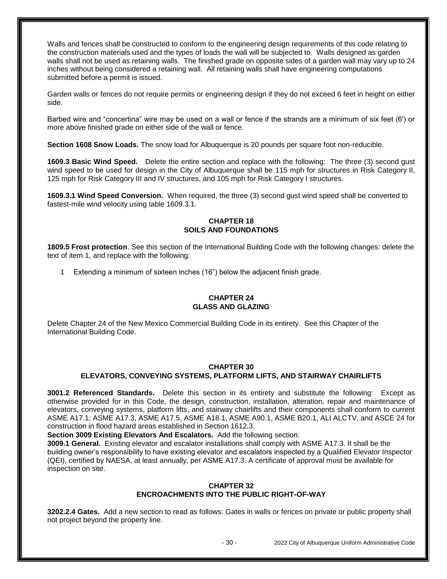Walls and fences shall be constructed to conform to the engineering design requirements of this code relating to the construction materials used and the types of loads the wall will be subjected to. Walls designed as garden walls shall not be used as retaining walls. The finished grade on opposite sides of a garden wall may vary up to 24 inches without being considered a retaining wall. All retaining walls shall have engineering computations submitted before a permit is issued.

Garden walls or fences do not require permits or engineering design if they do not exceed 6 feet in height on either side.

Barbed wire and "concertina" wire may be used on a wall or fence if the strands are a minimum of six feet (6') or more above finished grade on either side of the wall or fence.

**Section 1608 Snow Loads.** The snow load for Albuquerque is 20 pounds per square foot non-reducible.

**1609.3 Basic Wind Speed.** Delete the entire section and replace with the following: The three (3) second gust wind speed to be used for design in the City of Albuquerque shall be 115 mph for structures in Risk Category II, 125 mph for Risk Category III and IV structures, and 105 mph for Risk Category I structures.

**1609.3.1 Wind Speed Conversion.** When required, the three (3) second gust wind speed shall be converted to fastest-mile wind velocity using table 1609.3.1.

#### **CHAPTER 18 SOILS AND FOUNDATIONS**

**1809.5 Frost protection**. See this section of the International Building Code with the following changes: delete the text of item 1, and replace with the following:

1 Extending a minimum of sixteen inches (16") below the adjacent finish grade.

#### **CHAPTER 24 GLASS AND GLAZING**

Delete Chapter 24 of the New Mexico Commercial Building Code in its entirety. See this Chapter of the International Building Code.

#### **CHAPTER 30 ELEVATORS, CONVEYING SYSTEMS, PLATFORM LIFTS, AND STAIRWAY CHAIRLIFTS**

**3001.2 Referenced Standards.** Delete this section in its entirety and substitute the following: Except as otherwise provided for in this Code, the design, construction, installation, alteration, repair and maintenance of elevators, conveying systems, platform lifts, and stairway chairlifts and their components shall conform to current ASME A17.1; ASME A17.3, ASME A17.5, ASME A18.1, ASME A90.1, ASME B20.1, ALI ALCTV, and ASCE 24 for construction in flood hazard areas established in Section 1612.3.

**Section 3009 Existing Elevators And Escalators.** Add the following section:

**3009.1 General.** Existing elevator and escalator installations shall comply with ASME A17.3. It shall be the building owner's responsibility to have existing elevator and escalators inspected by a Qualified Elevator Inspector (QEI), certified by NAESA, at least annually, per ASME A17.3. A certificate of approval must be available for inspection on site.

#### **CHAPTER 32 ENCROACHMENTS INTO THE PUBLIC RIGHT-OF-WAY**

**3202.2.4 Gates.** Add a new section to read as follows: Gates in walls or fences on private or public property shall not project beyond the property line.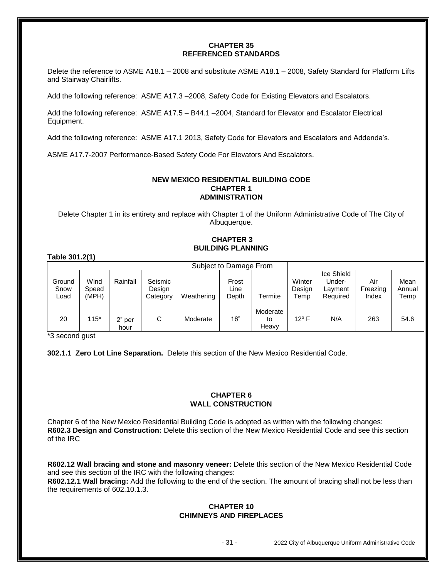#### **CHAPTER 35 REFERENCED STANDARDS**

Delete the reference to ASME A18.1 – 2008 and substitute ASME A18.1 – 2008, Safety Standard for Platform Lifts and Stairway Chairlifts.

Add the following reference: ASME A17.3 –2008, Safety Code for Existing Elevators and Escalators.

Add the following reference: ASME A17.5 – B44.1 –2004, Standard for Elevator and Escalator Electrical Equipment.

Add the following reference: ASME A17.1 2013, Safety Code for Elevators and Escalators and Addenda's.

ASME A17.7-2007 Performance-Based Safety Code For Elevators And Escalators.

#### **NEW MEXICO RESIDENTIAL BUILDING CODE CHAPTER 1 ADMINISTRATION**

Delete Chapter 1 in its entirety and replace with Chapter 1 of the Uniform Administrative Code of The City of Albuquerque.

#### **CHAPTER 3 BUILDING PLANNING**

**Table 301.2(1)**

|                        |                        |                   |                               |            | Subject to Damage From |                         |                          |                                             |                          |                        |
|------------------------|------------------------|-------------------|-------------------------------|------------|------------------------|-------------------------|--------------------------|---------------------------------------------|--------------------------|------------------------|
| Ground<br>Snow<br>Load | Wind<br>Speed<br>(MPH) | Rainfall          | Seismic<br>Design<br>Category | Weathering | Frost<br>Line<br>Depth | Termite                 | Winter<br>Design<br>Temp | Ice Shield<br>Under-<br>Layment<br>Required | Air<br>Freezing<br>Index | Mean<br>Annual<br>Temp |
| 20                     | $115*$                 | 2"<br>per<br>hour | С                             | Moderate   | 16"                    | Moderate<br>to<br>Heavv | $12^{\circ}$ F           | N/A                                         | 263                      | 54.6                   |

\*3 second gust

**302.1.1 Zero Lot Line Separation.** Delete this section of the New Mexico Residential Code.

#### **CHAPTER 6 WALL CONSTRUCTION**

Chapter 6 of the New Mexico Residential Building Code is adopted as written with the following changes: **R602.3 Design and Construction:** Delete this section of the New Mexico Residential Code and see this section of the IRC

**R602.12 Wall bracing and stone and masonry veneer:** Delete this section of the New Mexico Residential Code and see this section of the IRC with the following changes:

**R602.12.1 Wall bracing:** Add the following to the end of the section. The amount of bracing shall not be less than the requirements of 602.10.1.3.

#### **CHAPTER 10 CHIMNEYS AND FIREPLACES**

- 31 - 2022 City of Albuquerque Uniform Administrative Code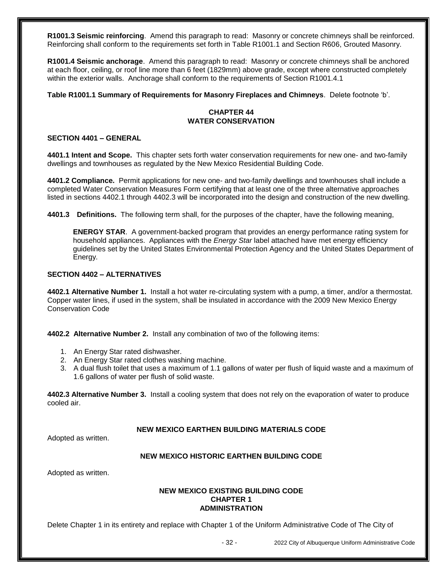**R1001.3 Seismic reinforcing**. Amend this paragraph to read: Masonry or concrete chimneys shall be reinforced. Reinforcing shall conform to the requirements set forth in Table R1001.1 and Section R606, Grouted Masonry.

**R1001.4 Seismic anchorage**. Amend this paragraph to read: Masonry or concrete chimneys shall be anchored at each floor, ceiling, or roof line more than 6 feet (1829mm) above grade, except where constructed completely within the exterior walls. Anchorage shall conform to the requirements of Section R1001.4.1

**Table R1001.1 Summary of Requirements for Masonry Fireplaces and Chimneys**. Delete footnote 'b'.

#### **CHAPTER 44 WATER CONSERVATION**

#### **SECTION 4401 – GENERAL**

**4401.1 Intent and Scope.** This chapter sets forth water conservation requirements for new one- and two-family dwellings and townhouses as regulated by the New Mexico Residential Building Code.

**4401.2 Compliance.** Permit applications for new one- and two-family dwellings and townhouses shall include a completed Water Conservation Measures Form certifying that at least one of the three alternative approaches listed in sections 4402.1 through 4402.3 will be incorporated into the design and construction of the new dwelling.

**4401.3 Definitions.** The following term shall, for the purposes of the chapter, have the following meaning,

**ENERGY STAR**. A government-backed program that provides an energy performance rating system for household appliances. Appliances with the *Energy Star* label attached have met energy efficiency guidelines set by the United States Environmental Protection Agency and the United States Department of Energy.

#### **SECTION 4402 – ALTERNATIVES**

**4402.1 Alternative Number 1.** Install a hot water re-circulating system with a pump, a timer, and/or a thermostat. Copper water lines, if used in the system, shall be insulated in accordance with the 2009 New Mexico Energy Conservation Code

**4402.2 Alternative Number 2.** Install any combination of two of the following items:

- 1. An Energy Star rated dishwasher.
- 2. An Energy Star rated clothes washing machine.
- 3. A dual flush toilet that uses a maximum of 1.1 gallons of water per flush of liquid waste and a maximum of 1.6 gallons of water per flush of solid waste.

**4402.3 Alternative Number 3.** Install a cooling system that does not rely on the evaporation of water to produce cooled air.

#### **NEW MEXICO EARTHEN BUILDING MATERIALS CODE**

Adopted as written.

#### **NEW MEXICO HISTORIC EARTHEN BUILDING CODE**

Adopted as written.

#### **NEW MEXICO EXISTING BUILDING CODE CHAPTER 1 ADMINISTRATION**

Delete Chapter 1 in its entirety and replace with Chapter 1 of the Uniform Administrative Code of The City of

- 32 - 2022 City of Albuquerque Uniform Administrative Code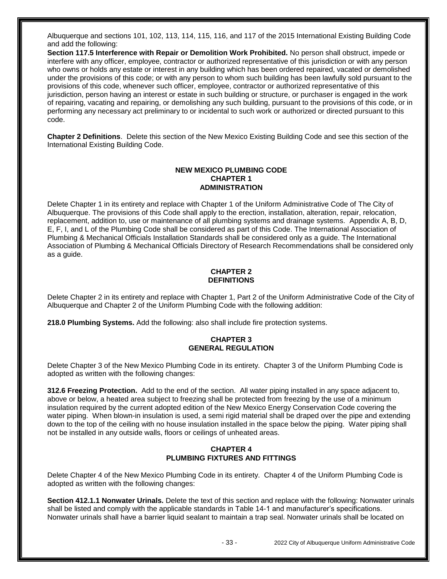Albuquerque and sections 101, 102, 113, 114, 115, 116, and 117 of the 2015 International Existing Building Code and add the following:

**Section 117.5 Interference with Repair or Demolition Work Prohibited.** No person shall obstruct, impede or interfere with any officer, employee, contractor or authorized representative of this jurisdiction or with any person who owns or holds any estate or interest in any building which has been ordered repaired, vacated or demolished under the provisions of this code; or with any person to whom such building has been lawfully sold pursuant to the provisions of this code, whenever such officer, employee, contractor or authorized representative of this jurisdiction, person having an interest or estate in such building or structure, or purchaser is engaged in the work of repairing, vacating and repairing, or demolishing any such building, pursuant to the provisions of this code, or in performing any necessary act preliminary to or incidental to such work or authorized or directed pursuant to this code.

**Chapter 2 Definitions**. Delete this section of the New Mexico Existing Building Code and see this section of the International Existing Building Code.

#### **NEW MEXICO PLUMBING CODE CHAPTER 1 ADMINISTRATION**

Delete Chapter 1 in its entirety and replace with Chapter 1 of the Uniform Administrative Code of The City of Albuquerque. The provisions of this Code shall apply to the erection, installation, alteration, repair, relocation, replacement, addition to, use or maintenance of all plumbing systems and drainage systems. Appendix A, B, D, E, F, I, and L of the Plumbing Code shall be considered as part of this Code. The International Association of Plumbing & Mechanical Officials Installation Standards shall be considered only as a guide. The International Association of Plumbing & Mechanical Officials Directory of Research Recommendations shall be considered only as a guide.

#### **CHAPTER 2 DEFINITIONS**

Delete Chapter 2 in its entirety and replace with Chapter 1, Part 2 of the Uniform Administrative Code of the City of Albuquerque and Chapter 2 of the Uniform Plumbing Code with the following addition:

**218.0 Plumbing Systems.** Add the following: also shall include fire protection systems.

#### **CHAPTER 3 GENERAL REGULATION**

Delete Chapter 3 of the New Mexico Plumbing Code in its entirety. Chapter 3 of the Uniform Plumbing Code is adopted as written with the following changes:

**312.6 Freezing Protection.** Add to the end of the section. All water piping installed in any space adjacent to, above or below, a heated area subject to freezing shall be protected from freezing by the use of a minimum insulation required by the current adopted edition of the New Mexico Energy Conservation Code covering the water piping. When blown-in insulation is used, a semi rigid material shall be draped over the pipe and extending down to the top of the ceiling with no house insulation installed in the space below the piping. Water piping shall not be installed in any outside walls, floors or ceilings of unheated areas.

#### **CHAPTER 4 PLUMBING FIXTURES AND FITTINGS**

Delete Chapter 4 of the New Mexico Plumbing Code in its entirety. Chapter 4 of the Uniform Plumbing Code is adopted as written with the following changes:

**Section 412.1.1 Nonwater Urinals.** Delete the text of this section and replace with the following: Nonwater urinals shall be listed and comply with the applicable standards in Table 14-1 and manufacturer's specifications. Nonwater urinals shall have a barrier liquid sealant to maintain a trap seal. Nonwater urinals shall be located on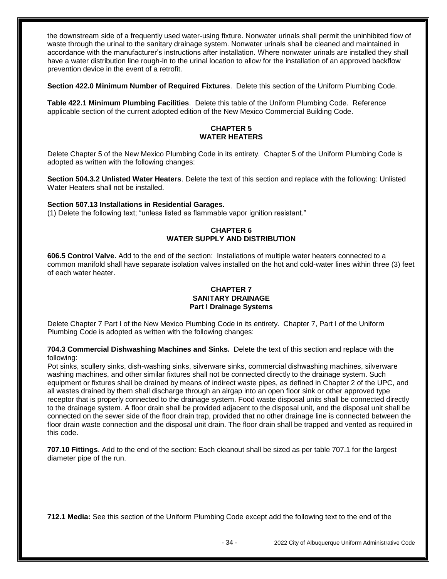the downstream side of a frequently used water-using fixture. Nonwater urinals shall permit the uninhibited flow of waste through the urinal to the sanitary drainage system. Nonwater urinals shall be cleaned and maintained in accordance with the manufacturer's instructions after installation. Where nonwater urinals are installed they shall have a water distribution line rough-in to the urinal location to allow for the installation of an approved backflow prevention device in the event of a retrofit.

**Section 422.0 Minimum Number of Required Fixtures**. Delete this section of the Uniform Plumbing Code.

**Table 422.1 Minimum Plumbing Facilities**. Delete this table of the Uniform Plumbing Code. Reference applicable section of the current adopted edition of the New Mexico Commercial Building Code.

#### **CHAPTER 5 WATER HEATERS**

Delete Chapter 5 of the New Mexico Plumbing Code in its entirety. Chapter 5 of the Uniform Plumbing Code is adopted as written with the following changes:

**Section 504.3.2 Unlisted Water Heaters**. Delete the text of this section and replace with the following: Unlisted Water Heaters shall not be installed.

#### **Section 507.13 Installations in Residential Garages.**

(1) Delete the following text; "unless listed as flammable vapor ignition resistant."

#### **CHAPTER 6 WATER SUPPLY AND DISTRIBUTION**

**606.5 Control Valve.** Add to the end of the section: Installations of multiple water heaters connected to a common manifold shall have separate isolation valves installed on the hot and cold-water lines within three (3) feet of each water heater.

#### **CHAPTER 7 SANITARY DRAINAGE Part I Drainage Systems**

Delete Chapter 7 Part I of the New Mexico Plumbing Code in its entirety. Chapter 7, Part I of the Uniform Plumbing Code is adopted as written with the following changes:

**704.3 Commercial Dishwashing Machines and Sinks.** Delete the text of this section and replace with the following:

Pot sinks, scullery sinks, dish-washing sinks, silverware sinks, commercial dishwashing machines, silverware washing machines, and other similar fixtures shall not be connected directly to the drainage system. Such equipment or fixtures shall be drained by means of indirect waste pipes, as defined in Chapter 2 of the UPC, and all wastes drained by them shall discharge through an airgap into an open floor sink or other approved type receptor that is properly connected to the drainage system. Food waste disposal units shall be connected directly to the drainage system. A floor drain shall be provided adjacent to the disposal unit, and the disposal unit shall be connected on the sewer side of the floor drain trap, provided that no other drainage line is connected between the floor drain waste connection and the disposal unit drain. The floor drain shall be trapped and vented as required in this code.

**707.10 Fittings**. Add to the end of the section: Each cleanout shall be sized as per table 707.1 for the largest diameter pipe of the run.

**712.1 Media:** See this section of the Uniform Plumbing Code except add the following text to the end of the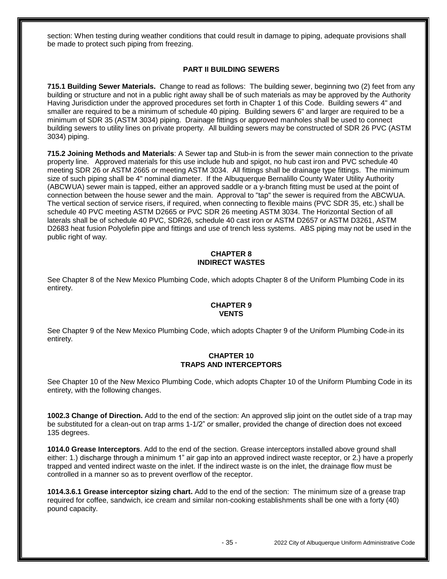section: When testing during weather conditions that could result in damage to piping, adequate provisions shall be made to protect such piping from freezing.

#### **PART II BUILDING SEWERS**

**715.1 Building Sewer Materials.** Change to read as follows: The building sewer, beginning two (2) feet from any building or structure and not in a public right away shall be of such materials as may be approved by the Authority Having Jurisdiction under the approved procedures set forth in Chapter 1 of this Code. Building sewers 4" and smaller are required to be a minimum of schedule 40 piping. Building sewers 6" and larger are required to be a minimum of SDR 35 (ASTM 3034) piping. Drainage fittings or approved manholes shall be used to connect building sewers to utility lines on private property. All building sewers may be constructed of SDR 26 PVC (ASTM 3034) piping.

**715.2 Joining Methods and Materials**: A Sewer tap and Stub-in is from the sewer main connection to the private property line. Approved materials for this use include hub and spigot, no hub cast iron and PVC schedule 40 meeting SDR 26 or ASTM 2665 or meeting ASTM 3034. All fittings shall be drainage type fittings. The minimum size of such piping shall be 4" nominal diameter. If the Albuquerque Bernalillo County Water Utility Authority (ABCWUA) sewer main is tapped, either an approved saddle or a y-branch fitting must be used at the point of connection between the house sewer and the main. Approval to "tap" the sewer is required from the ABCWUA. The vertical section of service risers, if required, when connecting to flexible mains (PVC SDR 35, etc.) shall be schedule 40 PVC meeting ASTM D2665 or PVC SDR 26 meeting ASTM 3034. The Horizontal Section of all laterals shall be of schedule 40 PVC, SDR26, schedule 40 cast iron or ASTM D2657 or ASTM D3261, ASTM D2683 heat fusion Polyolefin pipe and fittings and use of trench less systems. ABS piping may not be used in the public right of way.

#### **CHAPTER 8 INDIRECT WASTES**

See Chapter 8 of the New Mexico Plumbing Code, which adopts Chapter 8 of the Uniform Plumbing Code in its entirety.

#### **CHAPTER 9 VENTS**

See Chapter 9 of the New Mexico Plumbing Code, which adopts Chapter 9 of the Uniform Plumbing Code-in its entirety.

#### **CHAPTER 10 TRAPS AND INTERCEPTORS**

See Chapter 10 of the New Mexico Plumbing Code, which adopts Chapter 10 of the Uniform Plumbing Code in its entirety, with the following changes.

**1002.3 Change of Direction.** Add to the end of the section: An approved slip joint on the outlet side of a trap may be substituted for a clean-out on trap arms 1-1/2" or smaller, provided the change of direction does not exceed 135 degrees.

**1014.0 Grease Interceptors**. Add to the end of the section. Grease interceptors installed above ground shall either: 1.) discharge through a minimum 1" air gap into an approved indirect waste receptor, or 2.) have a properly trapped and vented indirect waste on the inlet. If the indirect waste is on the inlet, the drainage flow must be controlled in a manner so as to prevent overflow of the receptor.

**1014.3.6.1 Grease interceptor sizing chart.** Add to the end of the section: The minimum size of a grease trap required for coffee, sandwich, ice cream and similar non-cooking establishments shall be one with a forty (40) pound capacity.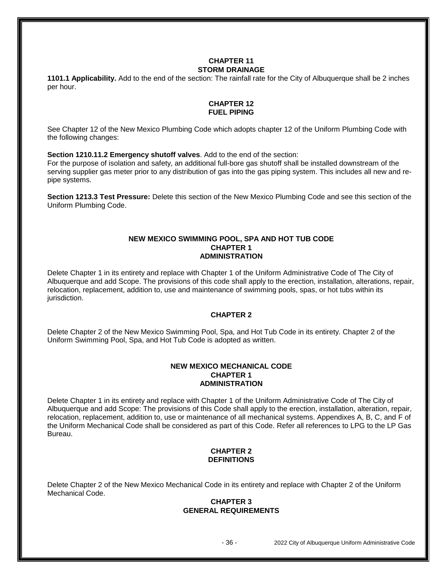#### **CHAPTER 11 STORM DRAINAGE**

**1101.1 Applicability.** Add to the end of the section: The rainfall rate for the City of Albuquerque shall be 2 inches per hour.

#### **CHAPTER 12 FUEL PIPING**

See Chapter 12 of the New Mexico Plumbing Code which adopts chapter 12 of the Uniform Plumbing Code with the following changes:

**Section 1210.11.2 Emergency shutoff valves**. Add to the end of the section:

For the purpose of isolation and safety, an additional full-bore gas shutoff shall be installed downstream of the serving supplier gas meter prior to any distribution of gas into the gas piping system. This includes all new and repipe systems.

**Section 1213.3 Test Pressure:** Delete this section of the New Mexico Plumbing Code and see this section of the Uniform Plumbing Code.

#### **NEW MEXICO SWIMMING POOL, SPA AND HOT TUB CODE CHAPTER 1 ADMINISTRATION**

Delete Chapter 1 in its entirety and replace with Chapter 1 of the Uniform Administrative Code of The City of Albuquerque and add Scope. The provisions of this code shall apply to the erection, installation, alterations, repair, relocation, replacement, addition to, use and maintenance of swimming pools, spas, or hot tubs within its jurisdiction.

#### **CHAPTER 2**

Delete Chapter 2 of the New Mexico Swimming Pool, Spa, and Hot Tub Code in its entirety. Chapter 2 of the Uniform Swimming Pool, Spa, and Hot Tub Code is adopted as written.

#### **NEW MEXICO MECHANICAL CODE CHAPTER 1 ADMINISTRATION**

Delete Chapter 1 in its entirety and replace with Chapter 1 of the Uniform Administrative Code of The City of Albuquerque and add Scope: The provisions of this Code shall apply to the erection, installation, alteration, repair, relocation, replacement, addition to, use or maintenance of all mechanical systems. Appendixes A, B, C, and F of the Uniform Mechanical Code shall be considered as part of this Code. Refer all references to LPG to the LP Gas Bureau.

#### **CHAPTER 2 DEFINITIONS**

Delete Chapter 2 of the New Mexico Mechanical Code in its entirety and replace with Chapter 2 of the Uniform Mechanical Code.

#### **CHAPTER 3 GENERAL REQUIREMENTS**

- 36 - 2022 City of Albuquerque Uniform Administrative Code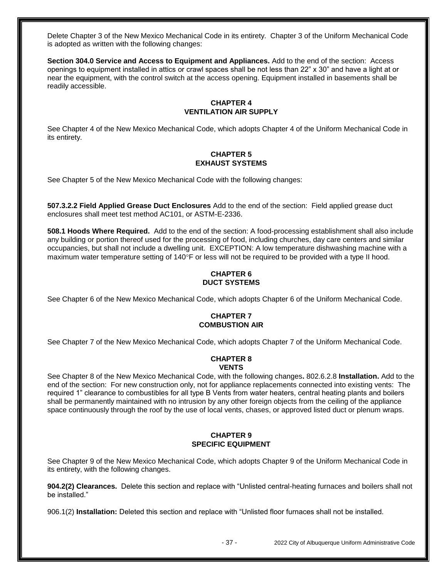Delete Chapter 3 of the New Mexico Mechanical Code in its entirety. Chapter 3 of the Uniform Mechanical Code is adopted as written with the following changes:

**Section 304.0 Service and Access to Equipment and Appliances.** Add to the end of the section: Access openings to equipment installed in attics or crawl spaces shall be not less than 22" x 30" and have a light at or near the equipment, with the control switch at the access opening. Equipment installed in basements shall be readily accessible.

#### **CHAPTER 4 VENTILATION AIR SUPPLY**

See Chapter 4 of the New Mexico Mechanical Code, which adopts Chapter 4 of the Uniform Mechanical Code in its entirety.

#### **CHAPTER 5 EXHAUST SYSTEMS**

See Chapter 5 of the New Mexico Mechanical Code with the following changes:

**507.3.2.2 Field Applied Grease Duct Enclosures** Add to the end of the section: Field applied grease duct enclosures shall meet test method AC101, or ASTM-E-2336.

**508.1 Hoods Where Required.** Add to the end of the section: A food-processing establishment shall also include any building or portion thereof used for the processing of food, including churches, day care centers and similar occupancies, but shall not include a dwelling unit. EXCEPTION: A low temperature dishwashing machine with a maximum water temperature setting of  $140^{\circ}$ F or less will not be required to be provided with a type II hood.

#### **CHAPTER 6 DUCT SYSTEMS**

See Chapter 6 of the New Mexico Mechanical Code, which adopts Chapter 6 of the Uniform Mechanical Code.

#### **CHAPTER 7 COMBUSTION AIR**

See Chapter 7 of the New Mexico Mechanical Code, which adopts Chapter 7 of the Uniform Mechanical Code.

#### **CHAPTER 8 VENTS**

See Chapter 8 of the New Mexico Mechanical Code, with the following changes**.** 802.6.2.8 **Installation.** Add to the end of the section: For new construction only, not for appliance replacements connected into existing vents: The required 1" clearance to combustibles for all type B Vents from water heaters, central heating plants and boilers shall be permanently maintained with no intrusion by any other foreign objects from the ceiling of the appliance space continuously through the roof by the use of local vents, chases, or approved listed duct or plenum wraps.

#### **CHAPTER 9 SPECIFIC EQUIPMENT**

See Chapter 9 of the New Mexico Mechanical Code, which adopts Chapter 9 of the Uniform Mechanical Code in its entirety, with the following changes.

**904.2(2) Clearances.** Delete this section and replace with "Unlisted central-heating furnaces and boilers shall not be installed."

906.1(2) **Installation:** Deleted this section and replace with "Unlisted floor furnaces shall not be installed.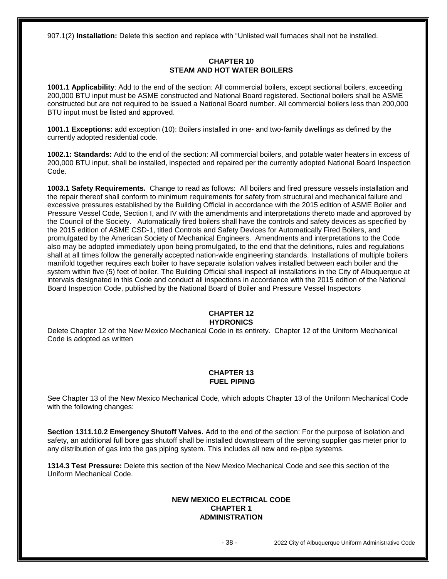907.1(2) **Installation:** Delete this section and replace with "Unlisted wall furnaces shall not be installed.

#### **CHAPTER 10 STEAM AND HOT WATER BOILERS**

**1001.1 Applicability**: Add to the end of the section: All commercial boilers, except sectional boilers, exceeding 200,000 BTU input must be ASME constructed and National Board registered. Sectional boilers shall be ASME constructed but are not required to be issued a National Board number. All commercial boilers less than 200,000 BTU input must be listed and approved.

**1001.1 Exceptions:** add exception (10): Boilers installed in one- and two-family dwellings as defined by the currently adopted residential code.

**1002.1: Standards:** Add to the end of the section: All commercial boilers, and potable water heaters in excess of 200,000 BTU input, shall be installed, inspected and repaired per the currently adopted National Board Inspection Code.

**1003.1 Safety Requirements.** Change to read as follows: All boilers and fired pressure vessels installation and the repair thereof shall conform to minimum requirements for safety from structural and mechanical failure and excessive pressures established by the Building Official in accordance with the 2015 edition of ASME Boiler and Pressure Vessel Code, Section I, and IV with the amendments and interpretations thereto made and approved by the Council of the Society. Automatically fired boilers shall have the controls and safety devices as specified by the 2015 edition of ASME CSD-1, titled Controls and Safety Devices for Automatically Fired Boilers, and promulgated by the American Society of Mechanical Engineers. Amendments and interpretations to the Code also may be adopted immediately upon being promulgated, to the end that the definitions, rules and regulations shall at all times follow the generally accepted nation-wide engineering standards. Installations of multiple boilers manifold together requires each boiler to have separate isolation valves installed between each boiler and the system within five (5) feet of boiler. The Building Official shall inspect all installations in the City of Albuquerque at intervals designated in this Code and conduct all inspections in accordance with the 2015 edition of the National Board Inspection Code, published by the National Board of Boiler and Pressure Vessel Inspectors

#### **CHAPTER 12 HYDRONICS**

Delete Chapter 12 of the New Mexico Mechanical Code in its entirety. Chapter 12 of the Uniform Mechanical Code is adopted as written

#### **CHAPTER 13 FUEL PIPING**

See Chapter 13 of the New Mexico Mechanical Code, which adopts Chapter 13 of the Uniform Mechanical Code with the following changes:

**Section 1311.10.2 Emergency Shutoff Valves.** Add to the end of the section: For the purpose of isolation and safety, an additional full bore gas shutoff shall be installed downstream of the serving supplier gas meter prior to any distribution of gas into the gas piping system. This includes all new and re-pipe systems.

**1314.3 Test Pressure:** Delete this section of the New Mexico Mechanical Code and see this section of the Uniform Mechanical Code.

#### **NEW MEXICO ELECTRICAL CODE CHAPTER 1 ADMINISTRATION**

- 38 - 2022 City of Albuquerque Uniform Administrative Code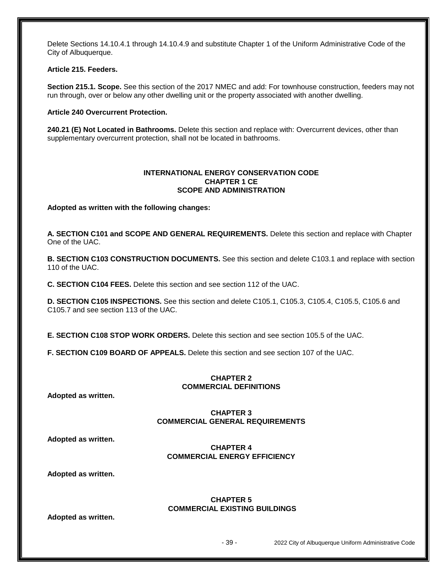Delete Sections 14.10.4.1 through 14.10.4.9 and substitute Chapter 1 of the Uniform Administrative Code of the City of Albuquerque.

#### **Article 215. Feeders.**

**Section 215.1. Scope.** See this section of the 2017 NMEC and add: For townhouse construction, feeders may not run through, over or below any other dwelling unit or the property associated with another dwelling.

#### **Article 240 Overcurrent Protection.**

**240.21 (E) Not Located in Bathrooms.** Delete this section and replace with: Overcurrent devices, other than supplementary overcurrent protection, shall not be located in bathrooms.

#### **INTERNATIONAL ENERGY CONSERVATION CODE CHAPTER 1 CE SCOPE AND ADMINISTRATION**

**Adopted as written with the following changes:**

**A. SECTION C101 and SCOPE AND GENERAL REQUIREMENTS.** Delete this section and replace with Chapter One of the UAC.

**B. SECTION C103 CONSTRUCTION DOCUMENTS.** See this section and delete C103.1 and replace with section 110 of the UAC.

**C. SECTION C104 FEES.** Delete this section and see section 112 of the UAC.

**D. SECTION C105 INSPECTIONS.** See this section and delete C105.1, C105.3, C105.4, C105.5, C105.6 and C105.7 and see section 113 of the UAC.

**E. SECTION C108 STOP WORK ORDERS.** Delete this section and see section 105.5 of the UAC.

**F. SECTION C109 BOARD OF APPEALS.** Delete this section and see section 107 of the UAC.

#### **CHAPTER 2 COMMERCIAL DEFINITIONS**

**Adopted as written.**

#### **CHAPTER 3 COMMERCIAL GENERAL REQUIREMENTS**

**Adopted as written.**

#### **CHAPTER 4 COMMERCIAL ENERGY EFFICIENCY**

**Adopted as written.**

#### **CHAPTER 5 COMMERCIAL EXISTING BUILDINGS**

**Adopted as written.**

- 39 - 2022 City of Albuquerque Uniform Administrative Code